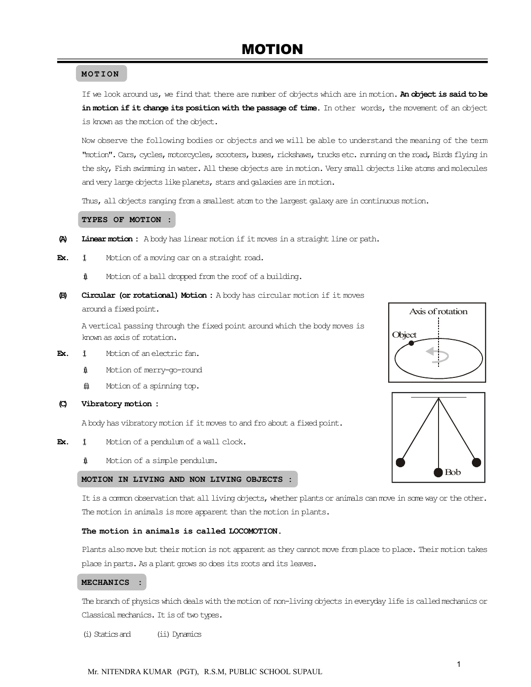#### **MOTION**

If we look around us, we find that there are number of objects which are in motion. An object is said to be in motion if it change its position with the passage of time. In other words, the movement of an object is known as the motion of the object.

Now observe the following bodies or objects and we will be able to understand the meaning of the term "motion". Cars, cycles, motorcycles, scooters, buses, rickshaws, trucks etc. running on the road, Birds flying in the sky, Fish swimming in water. All these objects are in motion. Very small objects like atoms and molecules and very large objects like planets, stars and galaxies are in motion.

Thus, all objects ranging from a smallest atom to the largest galaxy are in continuous motion.

#### TYPES OF MOTION :

- (A) Linear motion : A body has linear motion if it moves in a straight line or path.
- **Ex.**  $\uparrow$  Motion of a moving car on a straight road.
	- $\text{if}$  Motion of a ball dropped from the roof of a building.
- (B) Circular (or rotational) Motion : A body has circular motion if it moves around a fixed point.

A vertical passing through the fixed point around which the body moves is known as axis of rotation.

- **Ex.**  $\ddagger$  Motion of an electric fan.
	- $\textcolor{blue}{\pmb{\text{\char'13em} \textbf{\char'13em} \textbf{\char'13em} \textbf{\char'13em} }}$  Motion of merry-go-round
	- $\ddot{\textbf{m}}$  Motion of a spinning top.
- (C) Vibratory motion :

A body has vibratory motion if it moves to and fro about a fixed point.

- **Ex.**  $\sharp$  Motion of a pendulum of a wall clock.
	- $\text{1}$  Motion of a simple pendulum.

#### MOTION IN LIVING AND NON LIVING OBJECTS :

It is a common observation that all living objects, whether plants or animals can move in some way or the other. The motion in animals is more apparent than the motion in plants.

#### The motion in animals is called LOCOMOTION.

Plants also move but their motion is not apparent as they cannot move from place to place. Their motion takes place in parts. As a plant grows so does its roots and its leaves.

#### MECHANICS :

The branch of physics which deals with the motion of non-living objects in everyday life is called mechanics or Classical mechanics. It is of two types.

(i) Statics and (ii) Dynamics

Axis of rotation **Object** 

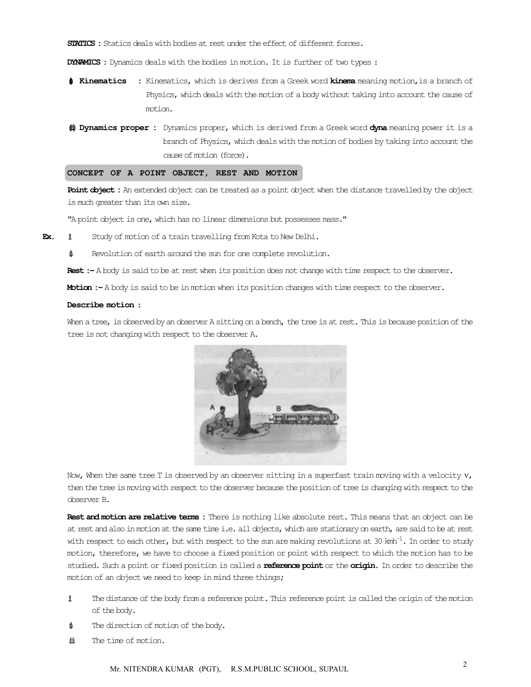STATICS : Statics deals with bodies at rest under the effect of different forces.

DYNAMICS : Dynamics deals with the bodies in motion. It is further of two types :

- **1** Kinematics : Kinematics, which is derives from a Greek word kinema meaning motion, is a branch of Physics, which deals with the motion of a body without taking into account the cause of motion.
- (iii) Dynamics proper : Dynamics proper, which is derived from a Greek word dyna meaning power it is a branch of Physics, which deals with the motion of bodies by taking into account the cause of motion (force).

#### CONCEPT OF A POINT OBJECT, REST AND MOTION

Point object : An extended object can be treated as a point object when the distance travelled by the object is much greater than its own size.

"A point object is one, which has no linear dimensions but possesses mass."

- **Ex.**  $\sharp$  Study of motion of a train travelling from Kota to New Delhi.
	- $\sharp$  Revolution of earth around the sun for one complete revolution.

Rest :- A body is said to be at rest when its position does not change with time respect to the observer.

Motion : - A body is said to be in motion when its position changes with time respect to the observer.

#### Describe motion :

When a tree, is observed by an observer A sitting on a bench, the tree is at rest. This is because position of the tree is not changing with respect to the observer A.



Now, When the same tree T is observed by an observer sitting in a superfast train moving with a velocity  $v$ , then the tree is moving with respect to the observer because the position of tree is changing with respect to the observer B.

Rest and motion are relative terms : There is nothing like absolute rest. This means that an object can be at rest and also in motion at the same time i.e. all objects, which are stationary on earth, are said to be at rest with respect to each other, but with respect to the sun are making revolutions at 30 kmh<sup>-1</sup>. In order to study motion, therefore, we have to choose a fixed position or point with respect to which the motion has to be studied. Such a point or fixed position is called a **reference point** or the **origin.** In order to describe the motion of an object we need to keep in mind three things;

- (i) The distance of the body from a reference point. This reference point is called the origin of the motion of the body.
- $\text{if}$  The direction of motion of the body.
- $\hat{\mathbf{m}}$  The time of motion.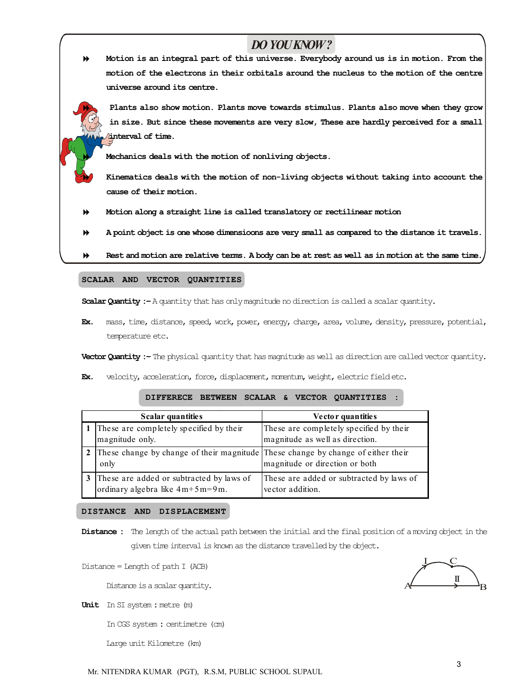# *DO YOU KNOW ?*

 Motion is an integral part of this universe. Everybody around us is in motion. From the motion of the electrons in their orbitals around the nucleus to the motion of the centre universe around its centre.

 Plants also show motion. Plants move towards stimulus. Plants also move when they grow in size. But since these movements are very slow, These are hardly perceived for a small interval of time.

Mechanics deals with the motion of nonliving objects.

- Kinematics deals with the motion of non-living objects without taking into account the cause of their motion.
- Motion along a straight line is called translatory or rectilinear motion
- A point object is one whose dimensioons are very small as compared to the distance it travels.

Rest and motion are relative terms. A body can be at rest as well as in motion at the same time.

#### SCALAR AND VECTOR QUANTITIES

Scalar Quantity :- A quantity that has only magnitude no direction is called a scalar quantity.

Ex. mass, time, distance, speed, work, power, energy, charge, area, volume, density, pressure, potential, temperature etc.

Vector Quantity :– The physical quantity that has magnitude as well as direction are called vector quantity.

Ex. velocity, acceleration, force, displacement, momentum, weight, electric field etc.

|   | Scalar quantities                                                                | Vector quantities                        |
|---|----------------------------------------------------------------------------------|------------------------------------------|
|   | 1 These are completely specified by their                                        | These are completely specified by their  |
|   | magnitude only.                                                                  | magnitude as well as direction.          |
|   | These change by change of their magnitude These change by change of either their |                                          |
|   | only                                                                             | magnitude or direction or both           |
| 3 | These are added or subtracted by laws of                                         | These are added or subtracted by laws of |
|   | ordinary algebra like $4m+5m=9m$ .                                               | vector addition.                         |

#### DIFFERECE BETWEEN SCALAR & VECTOR QUANTITIES :

#### DISTANCE AND DISPLACEMENT

Distance : The length of the actual path between the initial and the final position of a moving object in the given time interval is known as the distance travelled by the object.

 $Distance = Length of path I (ACB)$ 

Distance is a scalar quantity.

Unit In SI system : metre (m)

In CGS system : centimetre (cm)

Large unit Kilometre (km)

 $A \longrightarrow B$ I II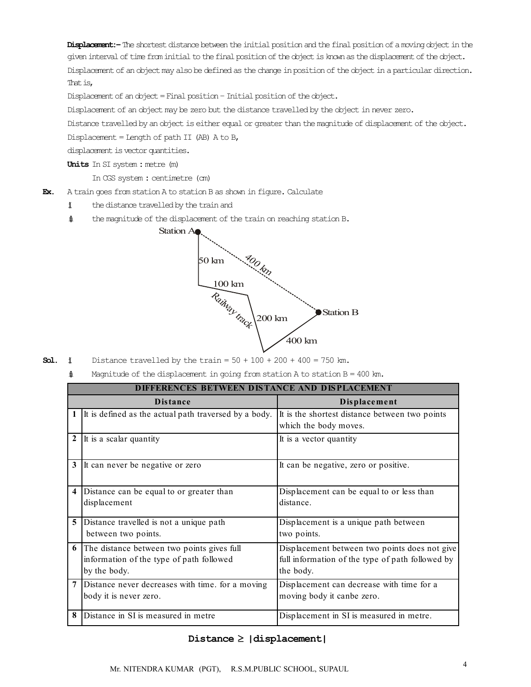Displacement: – The shortest distance between the initial position and the final position of a moving object in the given interval of time from initial to the final positionof the object is known as the displacement of the object. Displacement of an object may also be defined as the change in position of the object in a particular direction. That is,

Displacement of an object = Final position - Initial position of the object.

Displacement of an object may be zero but the distance travelled by the object in never zero.

Distance travelled by an object is either equal or greater than the magnitude of displacement of the object.

Displacement = Length of path II (AB)  $A$  to B,

displacement is vector quantities.

Units In SI system : metre (m)

In CGS system : centimetre (cm)

- Ex. A train goes from station A to station B as shown in figure. Calculate
	- $\ddagger$  the distance travelled by the train and
	- $\sharp$  the magnitude of the displacement of the train on reaching station B.



- **Sol.**  $\sharp$  Distance travelled by the train =  $50 + 100 + 200 + 400 = 750$  km.
	- $\text{M}$  Magnitude of the displacement in going from station A to station B = 400 km.

|                         | <b>DIFFERENCES BETWEEN DISTANCE AND DISPLACEMENT</b>                                                   |                                                                                                                |  |  |  |
|-------------------------|--------------------------------------------------------------------------------------------------------|----------------------------------------------------------------------------------------------------------------|--|--|--|
|                         | <b>D</b> istance                                                                                       | Displacement                                                                                                   |  |  |  |
|                         | It is defined as the actual path traversed by a body.                                                  | It is the shortest distance between two points<br>which the body moves.                                        |  |  |  |
| $\mathbf{2}$            | It is a scalar quantity                                                                                | It is a vector quantity                                                                                        |  |  |  |
| 3                       | It can never be negative or zero                                                                       | It can be negative, zero or positive.                                                                          |  |  |  |
| $\overline{\mathbf{4}}$ | Distance can be equal to or greater than<br>displacement                                               | Displacement can be equal to or less than<br>distance.                                                         |  |  |  |
| 5                       | Distance travelled is not a unique path<br>between two points.                                         | Displacement is a unique path between<br>two points.                                                           |  |  |  |
| 6                       | The distance between two points gives full<br>information of the type of path followed<br>by the body. | Displacement between two points does not give<br>full information of the type of path followed by<br>the body. |  |  |  |
| $\overline{7}$          | Distance never decreases with time, for a moving<br>body it is never zero.                             | Displacement can decrease with time for a<br>moving body it canbe zero.                                        |  |  |  |
| 8                       | Distance in SI is measured in metre                                                                    | Displacement in SI is measured in metre.                                                                       |  |  |  |

#### Distance  $\geq$  |displacement|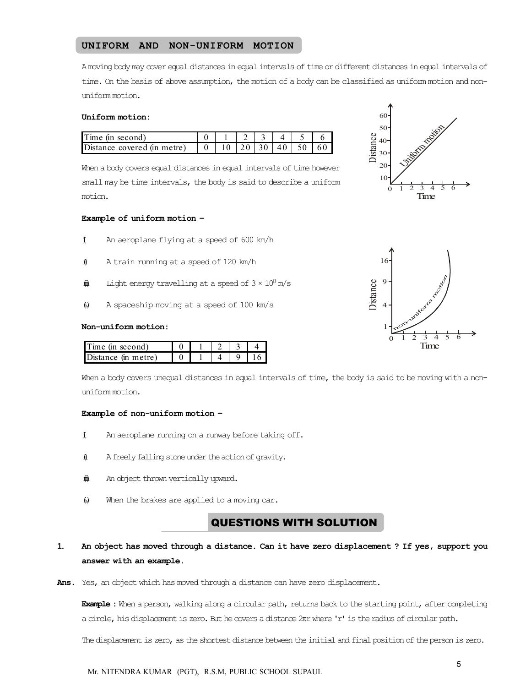#### UNIFORM AND NON-UNIFORM MOTION

A moving body may cover equal distances in equal intervals of time or different distances in equal intervals of time. On the basis of above assumption, the motion of a body can be classified as uniform motion and nonuniform motion.

#### Uniform motion:

| Time (in second) |  | $1 \mid 2 \mid 3 \mid$ |  |  |
|------------------|--|------------------------|--|--|
|                  |  |                        |  |  |

When a body covers equal distances in equal intervals of time however small may be time intervals, the body is said to describe a uniform motion.

#### Example of uniform motion –

- $\texttt{1}$  An aeroplane flying at a speed of 600 km/h
- $\text{1}$  A train running at a speed of 120 km/h
- $\ddot{\textbf{m}}$  Light energy travelling at a speed of  $3 \times 10^8$  m/s
- $\upphi$  A spaceship moving at a speed of 100 km/s

#### Non-uniform motion:

| $T$ me (in second)    |  |  |  |
|-----------------------|--|--|--|
| $Distance$ (in metre) |  |  |  |

When a body covers unequal distances in equal intervals of time, the body is said to be moving with a nonuniform motion.

#### Example of non-uniform motion –

- $\ddagger$  An aeroplane running on a runway before taking off.
- $\text{if}$  A freely falling stone under the action of gravity.
- $\hat{\boldsymbol{\omega}}$  An object thrown vertically upward.
- *When the brakes are applied to a moving car.*

# **QUESTIONS WITH SOLUTION**

## 1. An object has moved through a distance. Can it have zero displacement ? If yes, support you answer with an example.

Ans. Yes, an object which has moved through a distance can have zero displacement.

**Example :** When a person, walking along a circular path, returns back to the starting point, after completing a circle, his displacement is zero. But he covers a distance 2nr where 'r' is the radius of circular path.

The displacement is zero, as the shortest distance between the initial and final position of the person is zero.

0 1 2 3 4 5 6  $1<sup>1</sup>$  $20$ 30 40 50 60 Distance Time Uniform motion

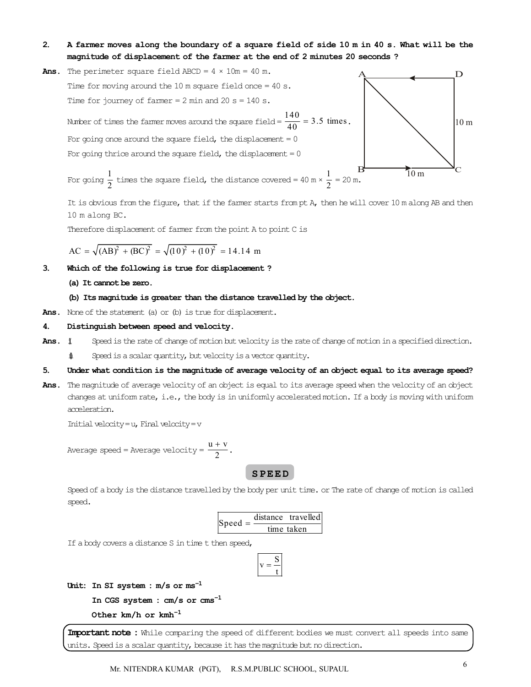- 2. A farmer moves along the boundary of a square field of side 10 m in 40 s. What will be the magnitude of displacement of the farmer at the end of 2 minutes 20 seconds ?
- Ans. The perimeter square field ABCD =  $4 \times 10m = 40 m$ . Time for moving around the 10 m square field once = 40 s. Time for journey of farmer  $= 2$  min and  $20$  s  $= 140$  s. Number of times the farmer moves around the square field  $=$   $\frac{140}{40}$  = 3.5 times.  $A \qquad D$ For going once around the square field, the displacement  $= 0$ For going thrice around the square field, the displacement  $= 0$



For going  $\frac{1}{2}$  times the square field, the distance covered = 40 m ×  $\frac{1}{2}$  = 20 m.

It is obvious from the figure, that if the farmer starts from pt A, then he will cover 10 m along AB and then 10 m along BC.

Therefore displacement of farmer from the point A to point C is

$$
AC = \sqrt{(AB)^{2} + (BC)^{2}} = \sqrt{(10)^{2} + (10)^{2}} = 14.14 \text{ m}
$$

3. Which of the following is true for displacement ?

#### (a) It cannot be zero.

- (b) Its magnitude is greater than the distance travelled by the object.
- Ans. None of the statement (a) or (b) is true for displacement.

#### 4. Distinguish between speed and velocity.

- Ans.  $\mu$  Speed is the rate of change of motion but velocity is the rate of change of motion in a specified direction.
	- $\sharp$  Speed is a scalar quantity, but velocity is a vector quantity.

#### 5. Under what condition is the magnitude of average velocity of an object equal to its average speed?

Ans. The magnitude of average velocity of an object is equal to its average speed when the velocity of an object changes at uniform rate, i.e., the body is in uniformly accelerated motion. If a body is moving with uniform acceleration.

Initial velocity = u, Final velocity = v

Average speed = Average velocity =  $\frac{u + v}{2}$  $rac{+v}{2}$ .

S P E E D

Speed of a body is the distance travelled by the body per unit time. or The rate of change of motion is called speed.

| $Speed = \frac{4\pi}{1}$ | distance travelled |
|--------------------------|--------------------|
|                          | time taken         |

If a body covers a distance S in time t then speed,

$$
v = \frac{S}{t}
$$

Unit: In SI system :  $m/s$  or  $ms^{-1}$ 

```
In CGS system : cm/s or cms–1
```
Other km/h or kmh–1

Important note : While comparing the speed of different bodies we must convert all speeds into same units. Speed is a scalar quantity, because it has the magnitude but no direction.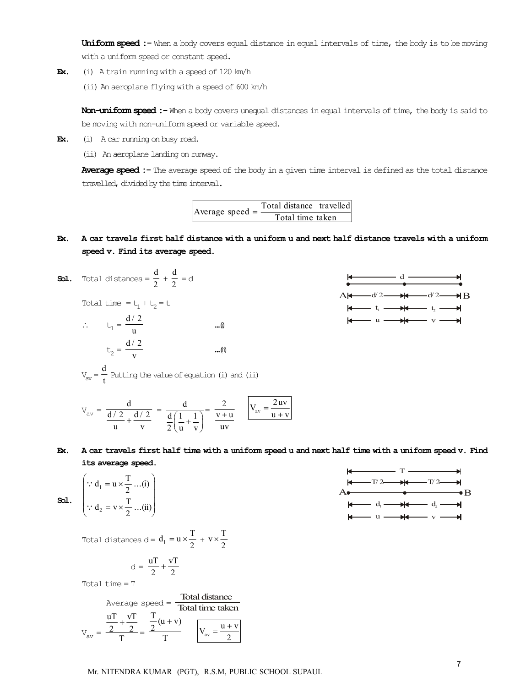Uniform speed :- When a body covers equal distance in equal intervals of time, the body is to be moving with a uniform speed or constant speed.

- Ex. (i) A train running with a speed of 120 km/h
	- (ii) An aeroplane flying with a speed of 600 km/h

Non-uniform speed :- When a body covers unequal distances in equal intervals of time, the body is said to be moving with non-uniform speed or variable speed.

Ex. (i) A car running on busy road.

(ii) An aeroplane landing on runway.

Average speed :- The average speed of the body in a given time interval is defined as the total distance travelled, divided by the time interval.

| Average speed $=$ | Total distance travelled |                  |  |
|-------------------|--------------------------|------------------|--|
|                   |                          | Total time taken |  |

- Ex. A car travels first half distance with a uniform u and next half distance travels with a uniform speed v. Find its average speed.
- **Sol.** Total distances =  $\frac{d}{2} + \frac{d}{2} = d$

Total time =  $t_1 + t_2 = t$ 

$$
\therefore \qquad t_1 = \frac{d/2}{u} \qquad \qquad \text{....}\n\Phi
$$

$$
t_2 = \frac{d/2}{v} \qquad \qquad \text{....}\n\Phi
$$

 $V_{\text{av}} = \frac{d}{t}$  Putting the value of equation (i) and (ii)



$$
V_{av} = \frac{d}{\frac{d/2}{u} + \frac{d/2}{v}} = \frac{d}{\frac{d}{2}(\frac{1}{u} + \frac{1}{v})} = \frac{2}{\frac{v+u}{uv}} \qquad V_{av} = \frac{2uv}{u+v}
$$

Ex. A car travels first half time with a uniform speed u and next half time with a uniform speed v. Find its average speed.

Sol.

$$
\begin{pmatrix}\n\therefore d_1 = u \times \frac{T}{2} \dots (i) \\
\therefore d_2 = v \times \frac{T}{2} \dots (ii)\n\end{pmatrix}
$$

Total distances d =  $d_1 = u \times \frac{T}{2} + v \times \frac{T}{2}$ 

$$
d = \frac{uT}{2} + \frac{vT}{2}
$$

Total time = T

Average speed = 
$$
\frac{\text{Total distance}}{\text{Total time taken}}
$$
  

$$
V_{av} = \frac{\frac{uT}{2} + \frac{vT}{2}}{T} = \frac{\frac{T}{2}(u+v)}{T} \qquad \boxed{V_{av} = \frac{u+v}{2}}
$$

| $\leftarrow$ | T   | +            |     |               |
|--------------|-----|--------------|-----|---------------|
| $\leftarrow$ | T/2 | $\leftarrow$ | T/2 | $\leftarrow$  |
| $\leftarrow$ | T/2 | $\leftarrow$ | 0   |               |
| $\leftarrow$ | d_i | $\leftarrow$ | d_2 | $\leftarrow$  |
| $\leftarrow$ | u   | $\leftarrow$ | v   | $\rightarrow$ |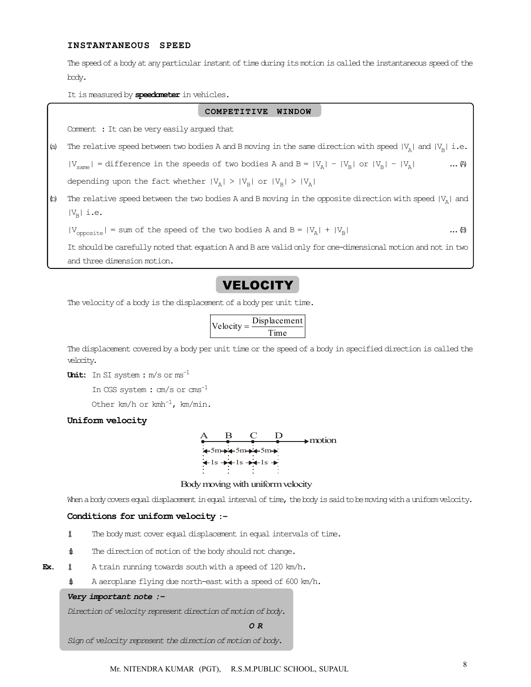#### INSTANTANEOUS SPEED

The speed of a body at any particular instant of time during its motion is called the instantaneous speed of the body.

It is measured by speedometer in vehicles.

#### COMPETITIVE WINDOW

Comment : It can be very easily argued that

(a) The relative speed between two bodies A and B moving in the same direction with speed  $|V_A|$  and  $|V_B|$  i.e.  $|V_{\text{sam}}|$  = difference in the speeds of two bodies A and B =  $|V_A|$  -  $|V_B|$  or  $|V_B|$  -  $|V_A|$  ...  $\omega$ depending upon the fact whether  $|V_A|$  >  $|V_B|$  or  $|V_B|$  >  $|V_A|$ 

(b) The relative speed between the two bodies A and B moving in the opposite direction with speed  $|V_A|$  and  $|V_{\rm B}|$  i.e.

 $|V_{\text{opposite}}|$  = sum of the speed of the two bodies A and B =  $|V_A|$  +  $|V_B|$  ...  $\oplus$ 

It should be carefully noted that equation A and B are valid only for one-dimensional motion and not in two and three dimension motion.

# **VELOCITY**

The velocity of a body is the displacement of a body per unit time.

$$
Velocity = \frac{Displacement}{Time}
$$

The displacement covered by a body per unit time or the speed of a body in specified direction is called the velocity.

Unit: In SI system : m/s or ms<sup>-1</sup>

In CGS system : cm/s or cms–1

Other  $km/h$  or  $kmh^{-1}$ ,  $km/min$ .

#### Uniform velocity

|  |                                                                                     | $\blacktriangleright$ motion |
|--|-------------------------------------------------------------------------------------|------------------------------|
|  | $+5m+5m+5m+$                                                                        |                              |
|  | $\leftarrow$ 1s $\rightarrow\leftarrow$ 1s $\rightarrow\leftarrow$ 1s $\rightarrow$ |                              |
|  |                                                                                     |                              |

Body moving with uniform velocity

When a body covers equal displacement in equal interval of time, the body is said to be moving with a uniform velocity.

#### Conditions for uniform velocity :–

- $\ddagger$  The body must cover equal displacement in equal intervals of time.
- $\sharp$  The direction of motion of the body should not change.
- **Ex.**  $\ddot{x}$  A train running towards south with a speed of 120 km/h.
	- $\text{ii}$  A aeroplane flying due north-east with a speed of 600 km/h.

#### *Very important note :–*

*Direction of velocity represent direction of motion of body.*

*O R*

*Sign of velocity represent the direction of motion of body.*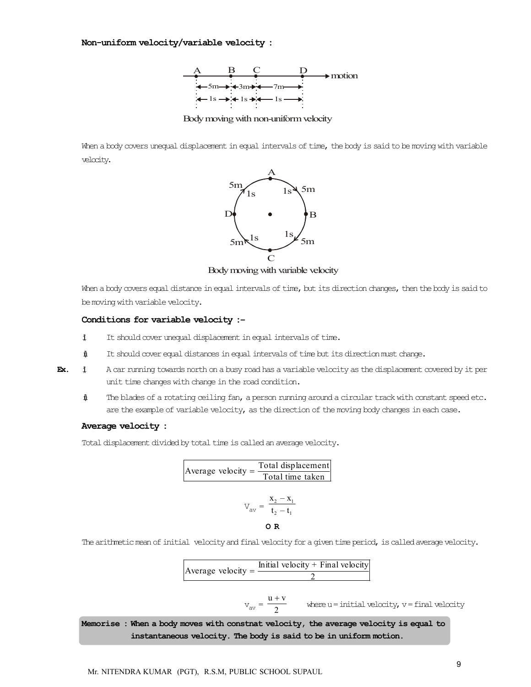

Body moving with non-uniform velocity

When a body covers unequal displacement in equal intervals of time, the body is said to be moving with variable velocity.



Body moving with variable velocity

When a body covers equal distance in equal intervals of time, but its direction changes, then the body is said to be moving with variable velocity.

#### Conditions for variable velocity :–

- $\ddagger$  It should cover unequal displacement in equal intervals of time.
- (ii) It should cover equal distances in equal intervals of time but its direction must change.

Ex.  $\sharp$  A car running towards north on a busy road has a variable velocity as the displacement covered by it per unit time changes with change in the road condition.

(ii) The blades of a rotating ceiling fan, a person running around a circular track with constant speed etc. are the example of variable velocity, as the direction of the moving body changes in each case.

#### Average velocity :

Total displacement divided by total time is called an average velocity.



The arithmetic mean of initial velocity and final velocity for a given time period, is called average velocity.

Average velocity =  $\frac{\text{Initial velocity} + \text{Final velocity}}{2}$ 

$$
v_{av} = \frac{u + v}{2}
$$

where  $u =$  initial velocity,  $v =$  final velocity

Memorise : When a body moves with constnat velocity, the average velocity is equal to instantaneous velocity. The body is said to be in uniform motion.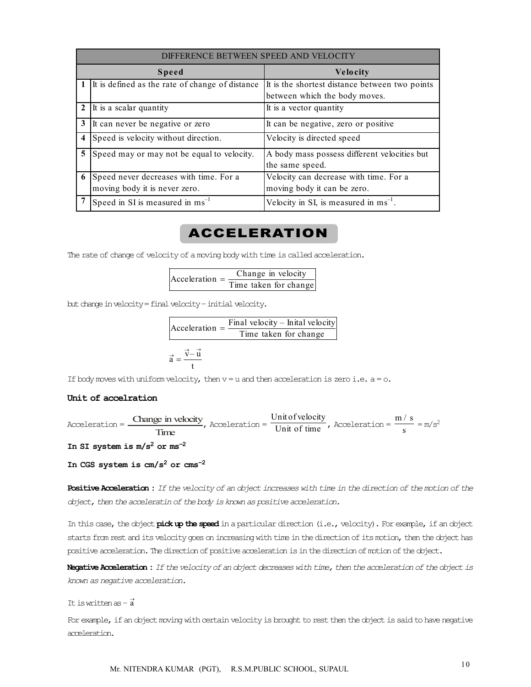|                         | DIFFERENCE BETWEEN SPEED AND VELOCITY                                   |                                                                                 |  |  |  |
|-------------------------|-------------------------------------------------------------------------|---------------------------------------------------------------------------------|--|--|--|
|                         | <b>Speed</b>                                                            | <b>Velocity</b>                                                                 |  |  |  |
|                         | It is defined as the rate of change of distance                         | It is the shortest distance between two points<br>between which the body moves. |  |  |  |
| $\mathbf{2}$            | It is a scalar quantity                                                 | It is a vector quantity                                                         |  |  |  |
| 3                       | It can never be negative or zero                                        | It can be negative, zero or positive                                            |  |  |  |
| $\overline{\mathbf{4}}$ | Speed is velocity without direction.                                    | Velocity is directed speed                                                      |  |  |  |
| 5                       | Speed may or may not be equal to velocity.                              | A body mass possess different velocities but<br>the same speed.                 |  |  |  |
| 6                       | Speed never decreases with time. For a<br>moving body it is never zero. | Velocity can decrease with time. For a<br>moving body it can be zero.           |  |  |  |
|                         | Speed in SI is measured in $\text{ms}^{-1}$                             | Velocity in SI, is measured in $ms^{-1}$ .                                      |  |  |  |

# ACCELERATION

The rate of change of velocity of a moving body with time is called acceleration.

| Acceptation | Change in velocity    |
|-------------|-----------------------|
|             | Time taken for change |

but change in velocity = final velocity – initial velocity.

$$
Acceleration = \frac{Final velocity - Initial velocity}{Time taken for change}
$$

$$
\vec{a} = \frac{\vec{v} - \vec{u}}{t}
$$

If body moves with uniform velocity, then  $v = u$  and then acceleration is zero i.e.  $a = o$ .

#### Unit of accelration

Acceleration = 
$$
\frac{\text{Change in velocity}}{\text{Time}}
$$
, Acceleration =  $\frac{\text{Unit of velocity}}{\text{Unit of time}}$ , Acceleration =  $\frac{m/s}{s} = m/s^2$   
In SI system is m/s<sup>2</sup> or ms<sup>-2</sup>

In CGS system is  $cm/s^2$  or  $cm s^{-2}$ 

Positive Acceleration : *If the velocity of an object increases with time in the direction of the motion of the object, then the acceleratin of the body is known as positive acceleration.*

In this case, the object **pick up the speed** in a particular direction (i.e., velocity). For example, if an object starts from rest and its velocity goes on increasing with time in the direction of its motion, then the object has positive acceleration. The direction of positive acceleration is in the direction of motion of the object.

Negative Acceleration :*If the velocity of an object decreases with time, then the acceleration of the object is known as negative acceleration.*

It is written as  $-\vec{a}$ 

For example, if an object moving with certain velocity is brought to rest then the object is said to have negative acceleration.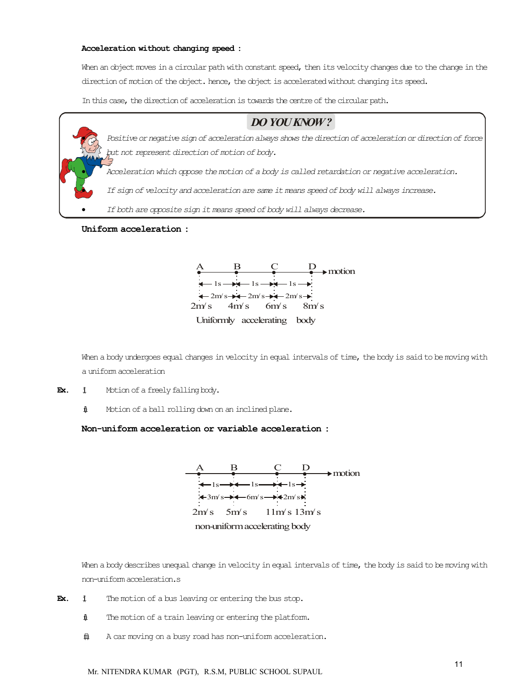#### Acceleration without changing speed :

When an object moves in a circular path with constant speed, then its velocity changes due to the change in the direction of motion of the object. hence, the object is accelerated without changing its speed.

In this case, the direction of acceleration is towards the centre of the circular path.

# *DO YOU KNOW ?*

 *Positive or negative sign of acceleration always shows the direction of acceleration or direction of force but not represent direction of motion of body.*

*Acceleration which oppose the motion of a body is called retardation or negative acceleration.*

*If sign of velocity and acceleration are same it means speed of body will always increase.*

*If both are opposite sign it means speed of body will always decrease.*

#### Uniform acceleration :



When a body undergoes equal changes in velocity in equal intervals of time, the body is said to be moving with a uniform acceleration

- **Ex.**  $\sharp$  Motion of a freely falling body.
	- $\text{if}$  Motion of a ball rolling down on an inclined plane.

#### Non-uniform acceleration or variable acceleration :



When a body describes unequal change in velocity in equal intervals of time, the body is said to be moving with non-uniform acceleration.s

- **Ex.**  $\sharp$  The motion of a bus leaving or entering the bus stop.
	- $\text{if}$  The motion of a train leaving or entering the platform.
	- $\hat{\mathbb{H}}$  A car moving on a busy road has non-uniform acceleration.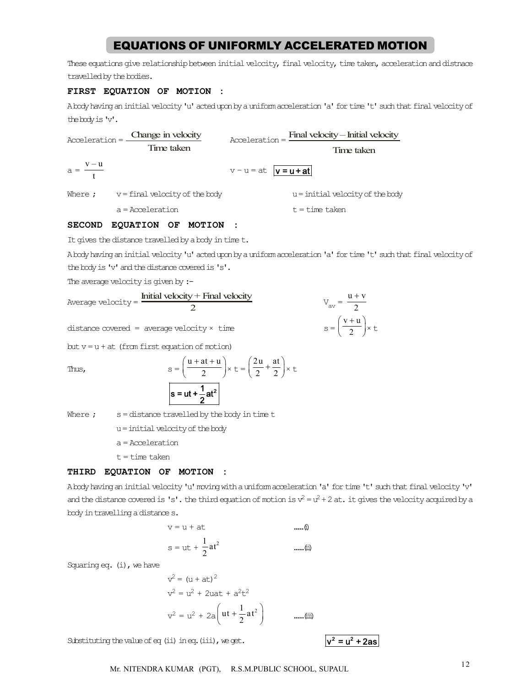# EQUATIONS OF UNIFORMLY ACCELERATED MOTION

These equations give relationship between initial velocity, final velocity, time taken, acceleration and distnace travelled by the bodies.

#### FIRST EQUATION OF MOTION :

A body having an initial velocity 'u' acted upon by a uniform acceleration 'a' for time 't' such that final velocity of the body is 'v'.

| Acceleration =        | Change in velocity             |                             | $\text{Acceleration} = \frac{\text{Final velocity} - \text{Initial velocity}}{\text{Total velocity}}$ |  |
|-----------------------|--------------------------------|-----------------------------|-------------------------------------------------------------------------------------------------------|--|
|                       | Time taken                     |                             | Time taken                                                                                            |  |
| $a = \frac{v - u}{t}$ |                                | $v - u = at$ $ v = u + at $ |                                                                                                       |  |
| Where ;               | v = final velocity of the body |                             | $u =$ initial velocity of the body                                                                    |  |

 $a = Acceleration$   $t = time taken$ 

#### SECOND EQUATION OF MOTION :

It gives the distance travelled by a body in time t.

A body having an initial velocity 'u' acted upon by a uniform acceleration 'a' for time 't' such that final velocity of the body is 'v' and the distance covered is 's'.

The average velocity is given by :-

| $Average velocity = \frac{\text{m}}{\text{m}}$      | Initial velocity $+$ Final velocity | $u + v$<br>$V_{av} = \frac{\overline{a}}{2}$ |
|-----------------------------------------------------|-------------------------------------|----------------------------------------------|
| $distance$ covered = average velocity $\times$ time |                                     | $s = \left(\frac{v+u}{2}\right) \times t$    |

but  $v = u + at$  (from first equation of motion)

Thus, s

$$
s = \left(\frac{u + at + u}{2}\right) \times t = \left(\frac{2u}{2} + \frac{at}{2}\right) \times t
$$
  
s = ut +  $\frac{1}{2}$ at<sup>2</sup>

Where  $;$  s = distance travelled by the body in time t

u = initial velocity of the body

a = Acceleration

 $t = t$ ime taken

#### THIRD EQUATION OF MOTION :

A body having an initial velocity 'u' moving with a uniform acceleration 'a' for time 't' such that final velocity 'v' and the distance covered is 's'. the third equation of motion is  $v^2 = u^2 + 2$  at. it gives the velocity acquired by a body in travelling a distance s.

$$
v = u + at
$$
\n
$$
s = ut + \frac{1}{2}at^{2}
$$
\n...... $\theta$ \n
$$
...
$$

Squaring  $eq.$  (i), we have

$$
v^{2} = (u + at)^{2}
$$
  
\n
$$
v^{2} = u^{2} + 2uat + a^{2}t^{2}
$$
  
\n
$$
v^{2} = u^{2} + 2a\left(ut + \frac{1}{2}at^{2}\right)
$$
 ......(iii)

Substituting the value of eq (ii) in eq. (iii), we get.  $v^2 = u^2 + 2as$ 

<sup>12</sup> Mr. NITENDRA KUMAR (PGT), R.S.M.PUBLIC SCHOOL, SUPAUL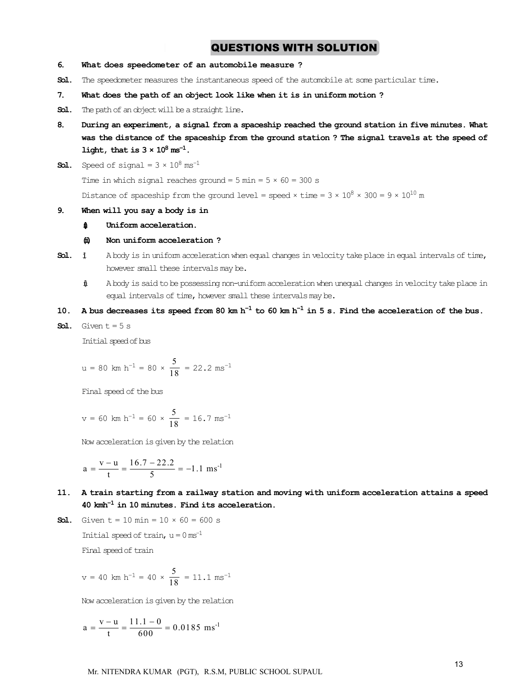# QUESTIONS WITH SOLUTION

- 6. What does speedometer of an automobile measure ?
- Sol. The speedometer measures the instantaneous speed of the automobile at some particular time.
- 7. What does the path of an object look like when it is in uniform motion ?
- Sol. The path of an object will be a straight line.
- 8. During an experiment, a signal from a spaceship reached the ground station in five minutes. What was the distance of the spaceship from the ground station ? The signal travels at the speed of light, that is  $3 \times 10^8$  ms<sup>-1</sup>.
- **Sol.** Speed of signal =  $3 \times 10^8$  ms<sup>-1</sup>

Time in which signal reaches ground =  $5 \text{ min} = 5 \times 60 = 300 \text{ s}$ 

Distance of spaceship from the ground level = speed  $\times$  time = 3  $\times$  10<sup>8</sup>  $\times$  300 = 9  $\times$  10<sup>10</sup> m

#### 9. When will you say a body is in

#### $\text{\textsterling}\, \text{Uniform acceleration}.$

#### $\omega$  Non uniform acceleration ?

- **Sol.**  $\sharp$  A body is in uniform acceleration when equal changes in velocity take place in equal intervals of time, however small these intervals may be.
	- (ii) A body is said to be possessing non-uniform acceleration when unequal changes in velocity take place in equal intervals of time, however small these intervals may be.

#### 10. A bus decreases its speed from 80 km  $h^{-1}$  to 60 km  $h^{-1}$  in 5 s. Find the acceleration of the bus.

**Sol.** Given  $t = 5 s$ 

Initial speed of bus

$$
u = 80 \text{ km h}^{-1} = 80 \times \frac{5}{18} = 22.2 \text{ ms}^{-1}
$$

Final speed of the bus

$$
v = 60
$$
 km h<sup>-1</sup> = 60 ×  $\frac{5}{18}$  = 16.7 ms<sup>-1</sup>

Now acceleration is given by the relation

$$
a = \frac{v - u}{t} = \frac{16.7 - 22.2}{5} = -1.1
$$
 ms<sup>-1</sup>

- 11. A train starting from a railway station and moving with uniform acceleration attains a speed  $40$   ${\rm kmh^{-1}}$  in 10 minutes. Find its acceleration.
- **Sol.** Given  $t = 10$  min =  $10 \times 60 = 600$  s Initial speed of train,  $u = 0$  ms<sup>-1</sup> Final speed of train

$$
v = 40
$$
 km h<sup>-1</sup> = 40 ×  $\frac{5}{18}$  = 11.1 ms<sup>-1</sup>

Now acceleration is given by the relation

$$
a = \frac{v - u}{t} = \frac{11.1 - 0}{600} = 0.0185
$$
 ms<sup>-1</sup>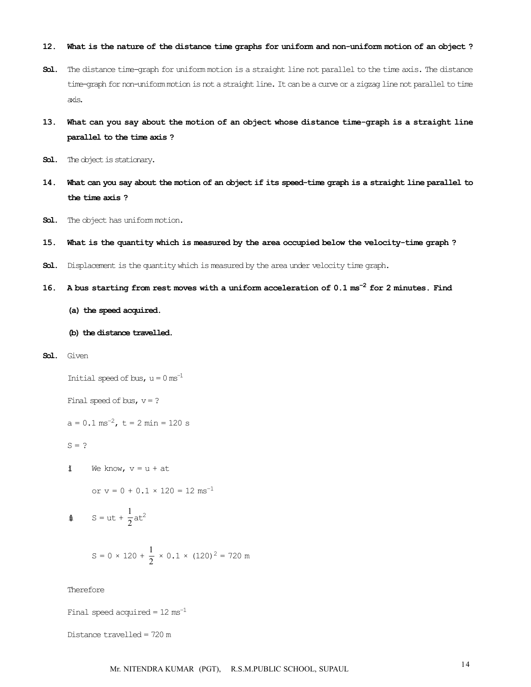#### 12. What is the nature of the distance time graphs for uniform and non-uniform motion of an object ?

- Sol. The distance time-graph for uniform motion is a straight line not parallel to the time axis. The distance time-graph for non-uniform motion is not a straight line. It can be a curve or a zigzag line not parallel to time axis.
- 13. What can you say about the motion of an object whose distance time-graph is a straight line parallel to the time axis ?
- Sol. The object is stationary.
- 14. What can you say about the motion of an object if its speed-time graph is a straight line parallel to the time axis ?
- Sol. The object has uniform motion.
- 15. What is the quantity which is measured by the area occupied below the velocity-time graph ?
- Sol. Displacement is the quantity which is measured by the area under velocity time graph.
- 16. A bus starting from rest moves with a uniform acceleration of  $0.1 \text{ ms}^{-2}$  for 2 minutes. Find
	- (a) the speed acquired.
	- (b) the distance travelled.
- Sol. Given

Initial speed of bus,  $u = 0$  ms<sup>-1</sup>

Final speed of bus,  $v = ?$ 

 $a = 0.1$  ms<sup>-2</sup>,  $t = 2$  min = 120 s

 $S = ?$ 

 $\mathbf{j}$  We know,  $v = u + at$ 

or  $v = 0 + 0.1 \times 120 = 12$  ms<sup>-1</sup>

$$
\mathbf{\hat{\psi}} \qquad \mathbf{S} = \mathbf{u}\mathbf{t} + \frac{1}{2}\mathbf{a}\mathbf{t}^2
$$

$$
S = 0 \times 120 + \frac{1}{2} \times 0.1 \times (120)^2 = 720 \text{ m}
$$

Therefore

Final speed acquired =  $12 \text{ ms}^{-1}$ 

Distance travelled = 720 m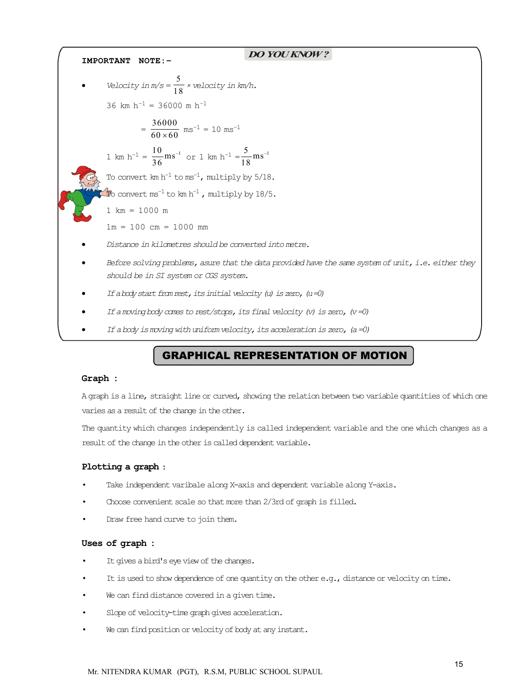$\mathcal{L}$ *DO YOU KNOW ?* IMPORTANT NOTE:– • Velocity in  $m/s = \frac{5}{18} \times$  velocity in km/h. 36 km  $h^{-1}$  = 36000 m  $h^{-1}$  $=\frac{36000}{60 \times 60}$  ms<sup>-1</sup> = 10 ms<sup>-1</sup> 1 km h<sup>-1</sup> =  $\frac{10}{36}$  ms<sup>-1</sup> or 1 km h<sup>-1</sup> =  $\frac{5}{18}$  ms<sup>-1</sup> To convert  $km h^{-1}$  to  $ms^{-1}$ , multiply by  $5/18$ .  $\mathbb{F}$ o convert ms $^{-1}$  to km h $^{-1}$  , multiply by 18/5. 1 km = 1000 m  $1m = 100$  cm = 1000 mm *Distance in kilometres should be converted into metre. Before solving problems, asure that the data provided have the same system of unit, i.e. either they should be in SI system or CGS system. If a body start from rest, its initial velocity (u) is zero, (u =0) If a moving body comes to rest/stops, its final velocity (v) is zero, (v =0) If a body is moving with uniform velocity, its acceleration is zero, (a =0)*

# GRAPHICAL REPRESENTATION OF MOTION

#### Graph :

A graph is a line, straight line or curved, showing the relation between two variable quantities of which one varies as a result of the change in the other.

The quantity which changes independently is called independent variable and the one which changes as a result of the change in the other is called dependent variable.

#### Plotting a graph :

- Take independent varibale along X-axis and dependent variable along Y-axis.
- Choose convenient scale so that more than 2/3rd of graph is filled.
- Draw free hand curve to join them.

#### Uses of graph :

- It gives a bird's eye view of the changes.
- It is used to show dependence of one quantity on the other e.g., distance or velocity on time.
- We can find distance covered in a given time.
- Slope of velocity-time graph gives acceleration.
- We can find position or velocity of body at any instant.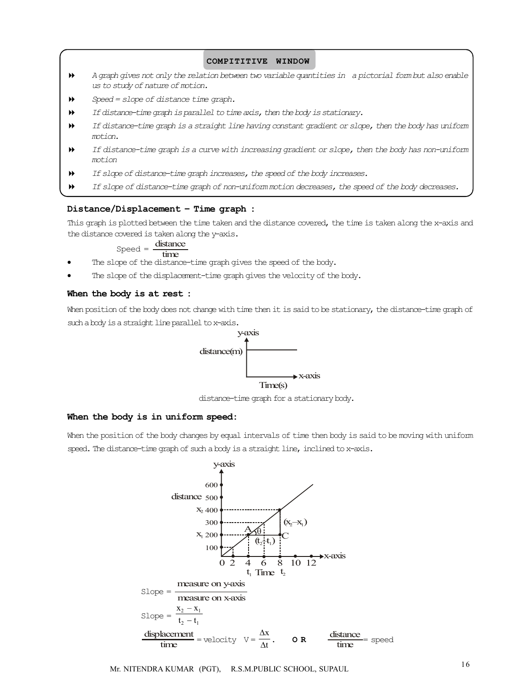#### COMPITITIVE WINDOW

- *A graph gives not only the relation between two variable quantities in a pictorial form but also enable us to study of nature of motion.*
- *Speed = slope of distance time graph.*
- *If distance-time graph is parallel to time axis, then the body is stationary.*
- *If distance-time graph is a straight line having constant gradient or slope, then the body has uniform motion.*
- *If distance-time graph is a curve with increasing gradient or slope, then the body has non-uniform motion*
- *If slope of distance-time graph increases, the speed of the body increases.*
- *If slope of distance-time graph of non-uniform motion decreases, the speed of the body decreases.*

#### Distance/Displacement – Time graph :

This graph is plotted between the time taken and the distance covered, the time is taken along the x-axis and the distance covered is taken along the y-axis.

# $Speed = \frac{distance}{time}$

- The slope of the distance-time graph gives the speed of the body.
- The slope of the displacement-time graph gives the velocity of the body.

#### When the body is at rest :

When position of the body does not change with time then it is said to be stationary, the distance-time graph of such a body is a straight line parallel to x-axis.



distance-time graph for a stationary body.

#### When the body is in uniform speed:

When the position of the body changes by equal intervals of time then body is said to be moving with uniform speed. The distance-time graph of such a body is a straight line, inclined to x-axis.



<sup>16</sup> Mr. NITENDRA KUMAR (PGT), R.S.M.PUBLIC SCHOOL, SUPAUL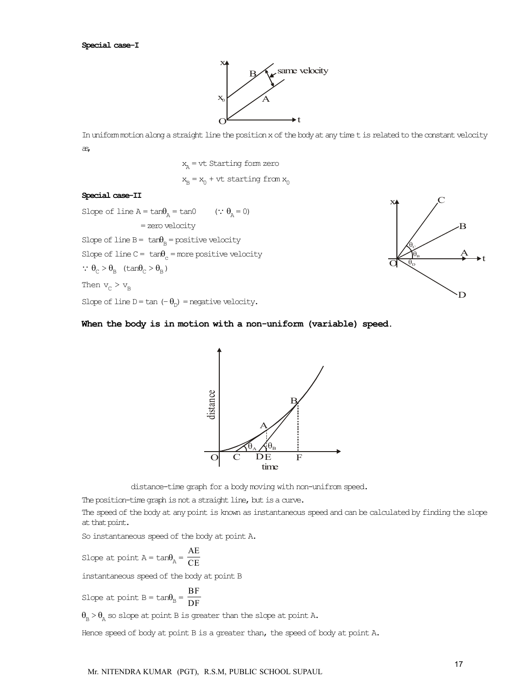#### Special case-I



In uniform motion along a straight line the position x of the body at any time t is related to the constant velocity as,

> $x_n = vt$  Starting form zero  $x_B = x_0 + vt$  starting from  $x_0$

#### Special case-II

Slope of line  $A = \tan\theta_A = \tan0$  (:  $\theta_A = 0$ ) = zero velocity Slope of line  $B = \tan\theta_B =$  positive velocity Slope of line  $C = \tan\theta_c =$  more positive velocity  $\therefore$   $\theta_{\text{C}} > \theta_{\text{B}}$  (tan $\theta_{\text{C}} > \theta_{\text{B}}$ ) Then  $v_c > v_B$ 

Slope of line  $D = \tan(-\theta_D) =$  negative velocity.



#### When the body is in motion with a non-uniform (variable) speed.



distance-time graph for a body moving with non-unifrom speed.

The position-time graph is not a straight line, but is a curve.

The speed of the body at any point is known as instantaneous speed and can be calculated by finding the slope at that point.

So instantaneous speed of the body at point A.

Slope at point  $A = \tan\theta_A = \frac{AE}{CE}$ 

instantaneous speed of the body at point B

Slope at point  $B = \tan\theta_B = \frac{BF}{DF}$ 

 $\theta_{\rm R} > \theta_{\rm A}$  so slope at point B is greater than the slope at point A.

Hence speed of body at point B is a greater than, the speed of body at point A.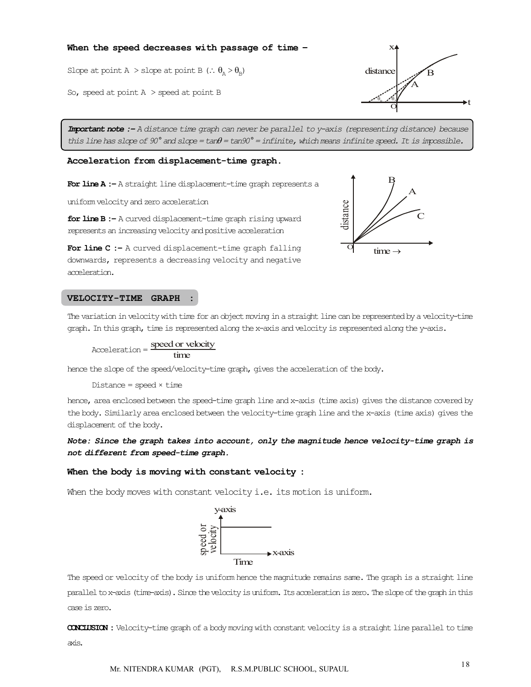#### When the speed decreases with passage of time -

Slope at point A > slope at point B  $\left(\cdot, \theta_{\rm a} > \theta_{\rm b}\right)$  distance

So, speed at point A > speed at point B

*Important note :– A distance time graph can never be parallel to y-axis (representing distance) because this line has slope of 90° and slope = tan = tan90° = infinite, which means infinite speed. It is impossible.*

distance

O

#### Acceleration from displacement-time graph.

For line A :- A straight line displacement-time graph represents a

uniform velocity and zero acceleration

for line B :- A curved displacement-time graph rising upward represents an increasing velocity and positive acceleration

For line C :- A curved displacement-time graph falling downwards, represents a decreasing velocity and negative acceleration.

#### VELOCITY-TIME GRAPH :

The variation in velocity with time for an object moving in a straight line can be represented by a velocity-time graph. In this graph, time is represented along the x-axis and velocity is represented along the y-axis.

 $Acceleration = speed or velocity$ 

hence the slope of the speed/velocity-time graph, gives the acceleration of the body.

 $Distance = speed \times time$ 

hence, area enclosed between the speed-time graph line and x-axis (time axis) gives the distance covered by the body. Similarly area enclosed between the velocity-time graph line and the x-axis (time axis) gives the displacement of the body.

#### *Note: Since the graph takes into account, only the magnitude hence velocity-time graph is not different from speed-time graph.*

#### When the body is moving with constant velocity :

When the body moves with constant velocity  $i.e.$  its motion is uniform.



The speed or velocity of the body is uniform hence the magnitude remains same. The graph is a straight line parallel to x-axis (time-axis). Since the velocity is uniform. Its acceleration is zero. The slope of the graph in this case is zero.

CONCLUSION : Velocity-time graph of a body moving with constant velocity is a straight line parallel to time axis.



B

 $time \rightarrow$ 

A

C

<sup>18</sup> Mr. NITENDRA KUMAR (PGT), R.S.M.PUBLIC SCHOOL, SUPAUL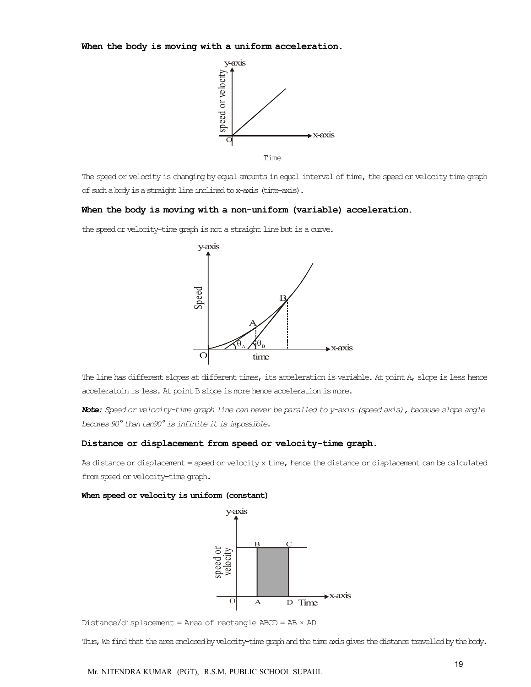When the body is moving with a uniform acceleration.



The speed or velocity is changing by equal amounts in equal interval of time, the speed or velocity time graph of such a body is a straight line inclined to x-axis (time-axis).

#### When the body is moving with a non-uniform (variable) acceleration.

the speed or velocity-time graph is not a straight line but is a curve.



The line has different slopes at different times, its acceleration is variable. At point A, slope is less hence acceleratoin is less. At point B slope is more hence acceleration is more.

*Note: Speed or velocity-time graph line can never be paralled to y-axis (speed axis), because slope angle becomes 90° than tan90° is infinite it is impossible.*

#### Distance or displacement from speed or velocity-time graph.

As distance or displacement = speed or velocity x time, hence the distance or displacement can be calculated from speed or velocity-time graph.

#### When speed or velocity is uniform (constant)



Distance/displacement = Area of rectangle ABCD = AB × AD

Thus, We find that the area enclosed by velocity-time graph and the time axis gives the distance travelled by the body.

Mr. NITENDRA KUMAR (PGT), R.S.M, PUBLIC SCHOOL SUPAUL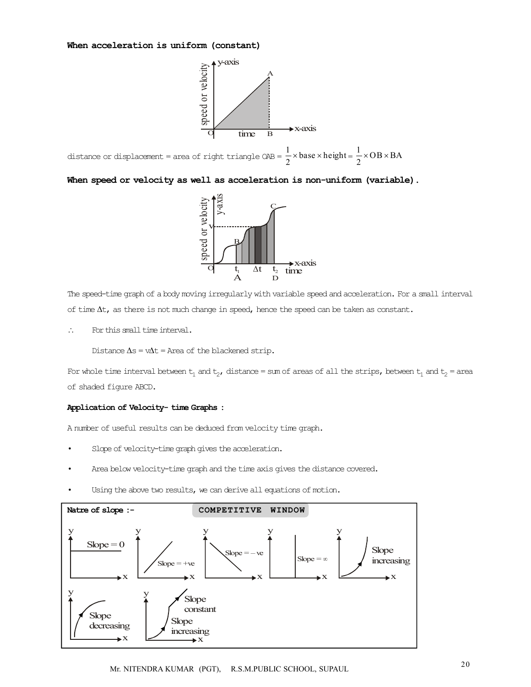#### When acceleration is uniform (constant)



distance or displacement = area of right triangle  $QAB = \frac{1}{2} \times base \times height = \frac{1}{2} \times OB \times BA$ 

When speed or velocity as well as acceleration is non-uniform (variable).



The speed-time graph of a body moving irregularly with variable speed and acceleration. For a small interval of time  $\Delta t$ , as there is not much change in speed, hence the speed can be taken as constant.

For this small time interval.

Distance  $\Delta s = v\Delta t =$  Area of the blackened strip.

For whole time interval between  $t_1$  and  $t_2$ , distance = sum of areas of all the strips, between  $t_1$  and  $t_2$  = area of shaded figure ABCD.

#### Application of Velocity- time Graphs :

A number of useful results can be deduced from velocity time graph.

- Slope of velocity-time graph gives the acceleration.
- Area below velocity-time graph and the time axis gives the distance covered.
- Using the above two results, we can derive all equations of motion.

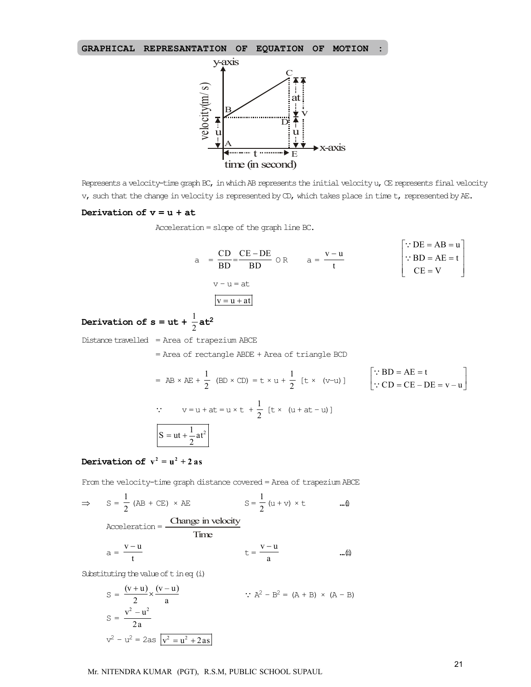



Represents a velocity-time graph BC, in which AB represents the initial velocity u, CE represents final velocity v, such that the change in velocity is represented by CD, which takes place in time t, represented by AE.

#### Derivation of  $v = u + at$

Acceleration = slope of the graph line BC.

$$
a = \frac{CD}{BD} = \frac{CE - DE}{BD} \quad \text{or} \quad a = \frac{v - u}{t}
$$
\n
$$
v - u = at
$$
\n
$$
\boxed{v = u + at}
$$
\n
$$
v = u + at
$$

# Derivation of  $s = ut + \frac{1}{2}at^2$

Distance travelled = Area of trapezium ABCE

= Area of rectangle ABDE + Area of triangle BCD

$$
= AB \times AE + \frac{1}{2} (BD \times CD) = t \times u + \frac{1}{2} [t \times (v-u)]
$$
  
\n
$$
\therefore CD = CE - DE = v - u
$$
  
\n
$$
\therefore CD = CE - DE = v - u
$$
  
\n
$$
S = ut + \frac{1}{2}at^{2}
$$

# Derivation of  $v^2 = u^2 + 2$  as

From the velocity-time graph distance covered = Area of trapezium ABCE

$$
\Rightarrow S = \frac{1}{2} (AB + CE) \times AE \qquad S = \frac{1}{2} (u + v) \times t \qquad \dots \text{and}
$$
  
Acceleration = Change in velocity  

$$
a = \frac{v - u}{t} \qquad t = \frac{v - u}{a} \qquad \dots \text{in}
$$

Substituting the value of t in eq (i)

$$
S = \frac{(v+u)}{2} \times \frac{(v-u)}{a}
$$
  
\n
$$
S = \frac{v^2 - u^2}{2a}
$$
  
\n
$$
v^2 - u^2 = 2as \overline{v^2 - u^2 + 2as}
$$
  
\n
$$
V = \frac{1}{2} \left( \frac{2}{3} + 2 \right) \times (A - B)
$$

Mr. NITENDRA KUMAR (PGT), R.S.M, PUBLIC SCHOOL SUPAUL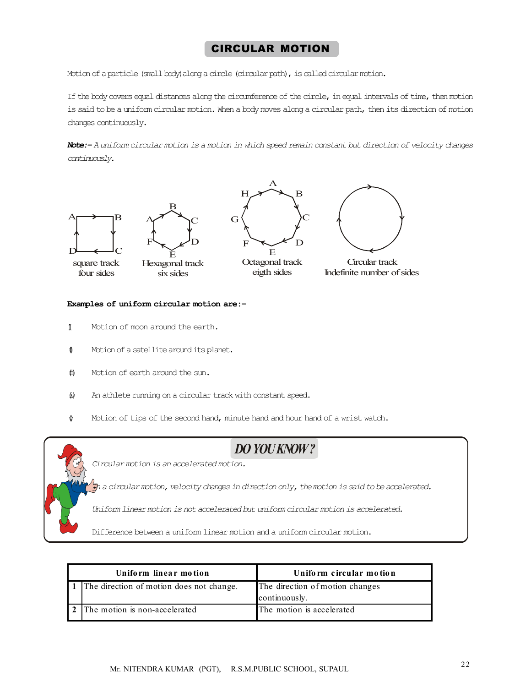# CIRCULAR MOTION

Motion of a particle (small body)along a circle (circular path), is called circular motion.

If the body covers equal distances along the circumference of the circle, in equal intervals of time, then motion is said to be a uniform circular motion. When a body moves along a circular path, then its direction of motion changes continuously.

*Note:– A uniform circular motion is a motion in which speed remain constant but direction of velocity changes continuously.*

A









Octagonal track eigth sides



 Circular track Indefinite number of sides

#### Examples of uniform circular motion are:–

- $\uparrow$  Motion of moon around the earth.
- $\textbf{\textit{i}}$  Motion of a satellite around its planet.
- $\ddot{\textbf{m}}$  Motion of earth around the sun.
- $\upphi$  An athlete running on a circular track with constant speed.
- $\mathbf{\hat{y}}$  Motion of tips of the second hand, minute hand and hour hand of a wrist watch.



# *DO YOU KNOW ?*

*Circular motion is an accelerated motion.*

*In a circular motion, velocity changes in direction only, the motion is said to be accelerated.*

*Uniform linear motion is not accelerated but uniform circular motion is accelerated.*

Difference between a uniform linear motion and a uniform circular motion.

| Uniform linear motion                    | Uniform circular motion                          |
|------------------------------------------|--------------------------------------------------|
| The direction of motion does not change. | The direction of motion changes<br>continuously. |
| The motion is non-accelerated            | The motion is accelerated                        |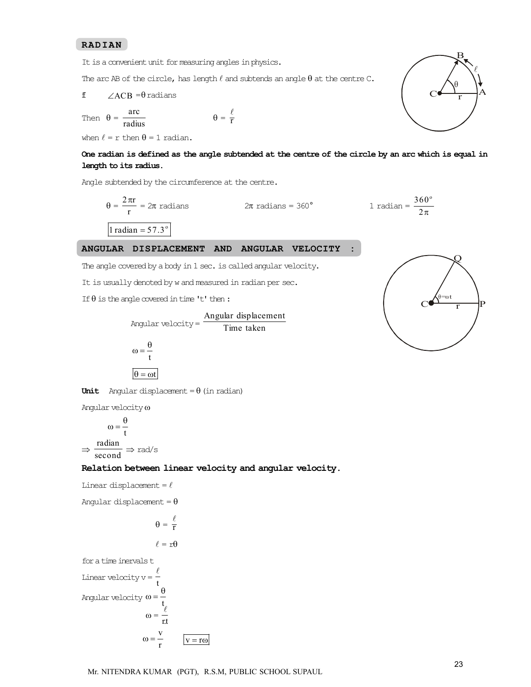#### RADIAN

It is a convenient unit for measuring angles in physics.

The arc AB of the circle, has length  $\ell$  and subtends an angle  $\theta$  at the centre C.

$$
\text{f} \qquad \angle ACB = \theta \text{ radians}
$$

Then  $\theta = \frac{\text{arc}}{\text{radius}}$   $\theta = \frac{\ell}{T}$  $\theta = \frac{\ell}{r}$ 

when  $\ell = r$  then  $\theta = 1$  radian.

#### One radian is defined as the angle subtended at the centre of the circle by an arc which is equal in length to its radius.

Angle subtended by the circumference at the centre.

$$
\theta = \frac{2\pi r}{r} = 2\pi \text{ radians}
$$
  $2\pi \text{ radians} = 360^{\circ}$   $1 \text{ radian} = \frac{360^{\circ}}{2\pi}$   
1 radian = 57.3°

#### ANGULAR DISPLACEMENT AND ANGULAR VELOCITY :

The angle covered by a body in 1 sec. is called angular velocity.

It is usually denoted by w and measured in radian per sec.

If  $\theta$  is the angle covered in time 't' then:

Angular velocity = 
$$
\frac{\text{Angular displacement}}{\text{Time taken}}
$$

\n $\omega = \frac{\theta}{t}$ 

\n $\theta = \omega t$ 



Angular velocity  $\omega$ 

$$
\omega = \frac{\theta}{t}
$$

$$
\Rightarrow \frac{\text{radian}}{\text{second}} \Rightarrow \text{rad/s}
$$

#### Relation between linear velocity and angular velocity.

Linear displacement =  $\ell$ 

Angular displacement =  $\theta$ 

$$
\theta = \frac{\ell}{r}
$$

$$
\ell=r\theta
$$

for a time inervals t Linear velocity v =  $\frac{\ell}{t}$ Angular velocity  $\omega = \frac{3}{t}$  $\theta$  $\omega =$  $\ell$  $\omega = \frac{v}{r}$   $v = r\omega$ 



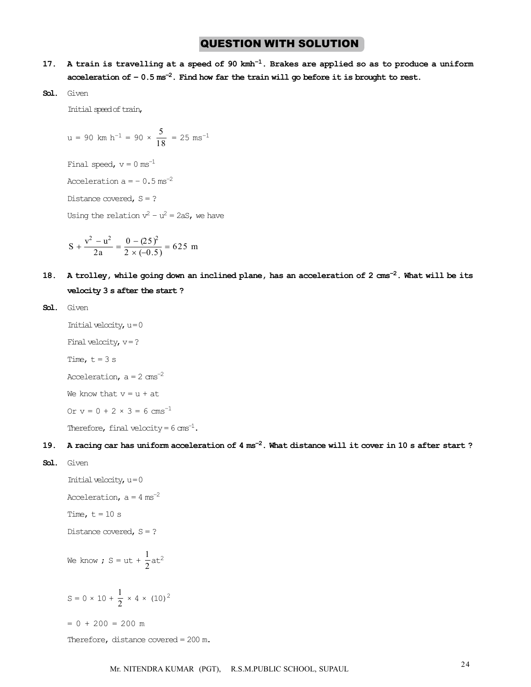# **QUESTION WITH SOLUTION**

- 17. A train is travelling at a speed of 90  $kmh^{-1}$ . Brakes are applied so as to produce a uniform acceleration of  $-0.5$  ms<sup>-2</sup>. Find how far the train will go before it is brought to rest.
- Sol. Given

Initial speed of train,

$$
u = 90 \text{ km h}^{-1} = 90 \times \frac{5}{18} = 25 \text{ ms}^{-1}
$$

Final speed,  $v = 0$  ms<sup>-1</sup>

Acceleration  $a = -0.5$  ms<sup>-2</sup>

Distance covered,  $S = ?$ 

Using the relation  $v^2 - u^2 = 2aS$ , we have

$$
S + \frac{v^2 - u^2}{2a} = \frac{0 - (25)^2}{2 \times (-0.5)} = 625 \text{ m}
$$

18. A trolley, while going down an inclined plane, has an acceleration of 2  $\text{cm s}^{-2}$ . What will be its velocity 3 s after the start ?

```
Sol. Given
```

```
Initial velocity, u = 0Final velocity, v = ?Time, t = 3 sAcceleration, a = 2 cms<sup>-2</sup>
We know that y = u + atOr v = 0 + 2 \times 3 = 6 cms<sup>-1</sup>
Therefore, final velocity = 6 \text{ ms}^{-1}.
```
### 19. A racing car has uniform acceleration of  $4 \text{ ms}^{-2}$ . What distance will it cover in 10 s after start ?

Sol. Given

```
Initial velocity, u = 0Acceleration, a = 4 ms<sup>-2</sup>
Time, t = 10 s
Distance covered, S = ?We know ; S = ut + \frac{1}{2}at^2S = 0 \times 10 + \frac{1}{2} \times 4 \times (10)^2
```
 $= 0 + 200 = 200$  m

Therefore, distance covered = 200 m.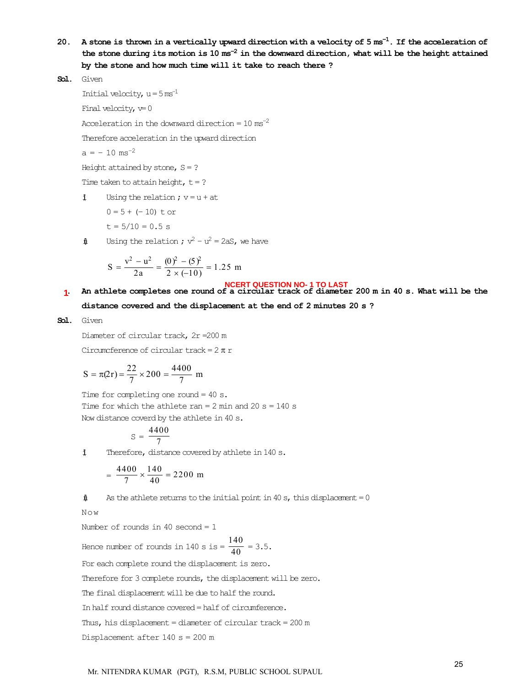20. A stone is thrown in a vertically upward direction with a velocity of  $5 \text{ ms}^{-1}$ . If the acceleration of the stone during its motion is  $10 \text{ ms}^{-2}$  in the downward direction, what will be the height attained by the stone and how much time will it take to reach there ?

```
Sol. Given
```
Initial velocity,  $u = 5$  ms<sup>-1</sup>

Final velocity,  $v=0$ 

Acceleration in the downward direction =  $10 \text{ ms}^{-2}$ 

Therefore acceleration in the upward direction

 $a = -10$  ms<sup>-2</sup>

Height attained by stone,  $S = ?$ 

Time taken to attain height,  $t = ?$ 

 $\ddagger$  Using the relation ;  $v = u + at$ 

 $0 = 5 + (-10)$  t or

$$
t = 5/10 = 0.5
$$
 s

 $\text{if}$  Using the relation ;  $v^2 - u^2 = 2aS$ , we have

$$
S = \frac{v^2 - u^2}{2a} = \frac{(0)^2 - (5)^2}{2 \times (-10)} = 1.25 \text{ m}
$$

NCERT QUESTION NO-1 TO LAST<br>1. An athlete completes one round of a circular track of diameter 200 m in 40 s. What will be the distance covered and the displacement at the end of 2 minutes 20 s ? **1**

Sol. Given

Diameter of circular track, 2r =200 m

Circumcference of circular track =  $2 \pi r$ 

$$
S = \pi(2r) = \frac{22}{7} \times 200 = \frac{4400}{7} \text{ m}
$$

Time for completing one round = 40 s. Time for which the athlete ran =  $2$  min and  $20$  s = 140 s Now distance coverd by the athlete in 40 s.

$$
s = \frac{4400}{7}
$$

 $\ddagger$  Therefore, distance covered by athlete in 140 s.

$$
= \frac{4400}{7} \times \frac{140}{40} = 2200 \text{ m}
$$

 $\text{if}$  As the athlete returns to the initial point in 40 s, this displacement = 0

Now

Number of rounds in 40 second = 1

Hence number of rounds in 140 s is  $=$   $\frac{140}{40}$  = 3.5.

For each complete round the displacement is zero.

Therefore for 3 complete rounds, the displacement will be zero.

The final displacement will be due to half the round.

In half round distance covered = half of circumference.

Thus, his displacement = diameter of circular track = 200 m

Displacement after 140 s = 200 m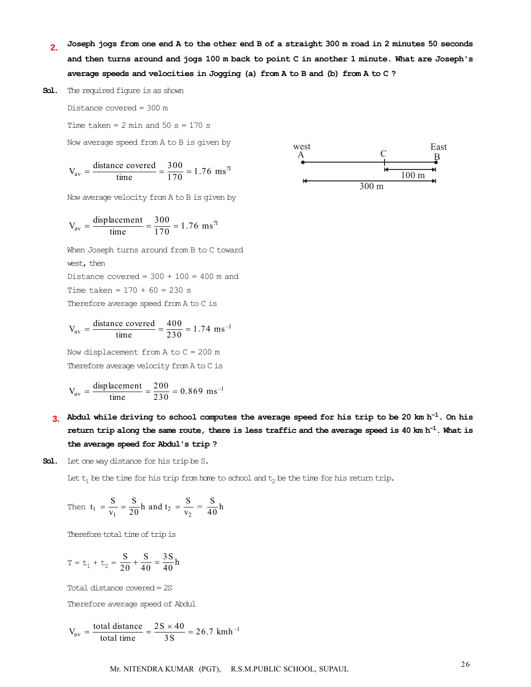Joseph jogs from one end A to the other end B of a straight 300 m road in 2 minutes 50 seconds and then turns around and jogs 100 m back to point C in another 1 minute. What are Joseph's average speeds and velocities in Jogging (a) from A to B and (b) from A to C ? **2.**

Sol. The required figure is as shown

Distance covered = 300 m

Time taken =  $2$  min and  $50$  s =  $170$  s

Now average speed from A to B is given by

$$
V_{\text{av}} = \frac{\text{distance covered}}{\text{time}} = \frac{300}{170} = 1.76 \text{ ms}^{\text{?}}
$$

Now average velocity from A to B is given by

$$
V_{\text{av}} = \frac{\text{displacement}}{\text{time}} = \frac{300}{170} = 1.76 \text{ ms}^{21}
$$

When Joseph turns around from B to C toward west, then Distance covered =  $300 + 100 = 400$  m and

Time taken =  $170 + 60 = 230$  s

Therefore average speed from A to C is

$$
V_{\text{av}} = \frac{\text{distance covered}}{\text{time}} = \frac{400}{230} = 1.74 \text{ ms}^{-1}
$$

Now displacement from  $A$  to  $C = 200$  m Therefore average velocity from A to C is

$$
V_{\text{av}} = \frac{\text{displacement}}{\text{time}} = \frac{200}{230} = 0.869 \text{ ms}^{-1}
$$

3. Abdul while driving to school computes the average speed for his trip to be 20 km h<sup>-1</sup>. On his return trip along the same route, there is less traffic and the average speed is 40 km  $h^{-1}$ . What is the average speed for Abdul's trip ?

Sol. Let one way distance for his trip be S.

Let  $t_1$  be the time for his trip from home to school and  $t_2$  be the time for his return trip.

Then 
$$
t_1 = \frac{S}{v_1} = \frac{S}{20}h
$$
 and  $t_2 = \frac{S}{v_2} = \frac{S}{40}h$ 

Therefore total time of trip is

$$
T = t_1 + t_2 = \frac{S}{20} + \frac{S}{40} = \frac{3S}{40}h
$$

Total distance covered = 2S Therefore average speed of Abdul

 $V_{\text{av}} = \frac{\text{total distance}}{\text{total time}} = \frac{2S \times 40}{3S} = 26.7 \text{ km} \text{h}^{-1}$ 

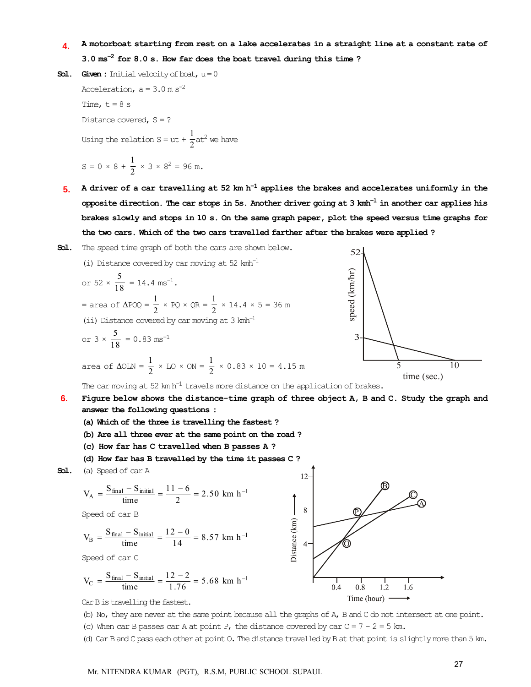#### 24. A motorboat starting from rest on a lake accelerates in a straight line at a constant rate of  $3.0 \text{ ms}^{-2}$  for  $8.0 \text{ s}$ . How far does the boat travel during this time? **4.**

- **Sol.** Given: Initial velocity of boat,  $u = 0$ Acceleration,  $a = 3.0$  m s<sup>-2</sup> Time,  $t = 8$  s Distance covered,  $S = ?$ Using the relation S = ut +  $\frac{1}{2}$ at<sup>2</sup> we have  $S = 0 \times 8 + \frac{1}{2} \times 3 \times 8^2 = 96$  m.
- 5. A driver of a car travelling at 52 km h<sup>-1</sup> applies the brakes and accelerates uniformly in the opposite direction. The car stops in 5s. Another driver going at 3 kmh $^{-1}$  in another car applies his brakes slowly and stops in 10 s. On the same graph paper, plot the speed versus time graphs for the two cars. Which of the two cars travelled farther after the brakes were applied ?
- Sol. The speed time graph of both the cars are shown below.

(i) Distance covered by car moving at 52 km<sup>-1</sup>  
\nor 52 × 
$$
\frac{5}{18}
$$
 = 14.4 ms<sup>-1</sup>.  
\n= area of  $\triangle POQ = \frac{1}{2} \times PQ \times QR = \frac{1}{2} \times 14.4 \times 5 = 36 \text{ m}$   
\n(ii) Distance covered by car moving at 3 kmh<sup>-1</sup>  
\nor 3 ×  $\frac{5}{18}$  = 0.83 ms<sup>-1</sup>  
\narea of  $\triangle OLN = \frac{1}{2} \times LO \times ON = \frac{1}{2} \times 0.83 \times 10 = 4.15 \text{ m}$   
\nThe car moving at 52 km h<sup>-1</sup> travels more distance on the application of brakes.  
\nFigure below shows the distance-time graph of three object A, B and C. Study the graph and

**6.**

- answer the following questions :
- (a) Which of the three is travelling the fastest ?
- (b) Are all three ever at the same point on the road ?
- (c) How far has C travelled when B passes A ?
- (d) How far has B travelled by the time it passes C ?

Sol. (a) Speed of car A

$$
V_A = \frac{S_{final} - S_{initial}}{time} = \frac{11 - 6}{2} = 2.50 \text{ km h}^{-1}
$$

Speed of car B

$$
V_B = \frac{S_{\text{final}} - S_{\text{initial}}}{\text{time}} = \frac{12 - 0}{14} = 8.57 \text{ km h}^{-1}
$$

Speed of car C

$$
V_C = \frac{S_{\text{final}} - S_{\text{initial}}}{\text{time}} = \frac{12 - 2}{1.76} = 5.68 \text{ km h}^{-1}
$$



 $52-$ 

Car B is travelling the fastest.

(b) No, they are never at the same point because all the graphs of A, B and C do not intersect at one point.

(c) When car B passes car A at point P, the distance covered by car  $C = 7 - 2 = 5$  km.

(d) Car B and C pass each other at point O. The distance travelled by B at that point is slightly more than 5 km.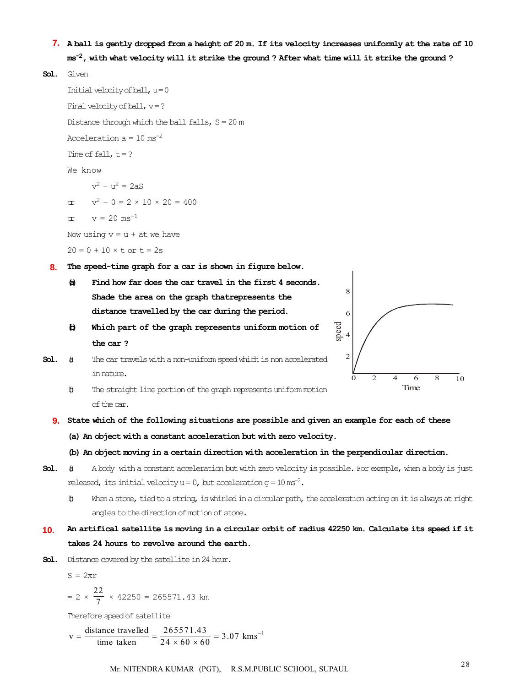- 27. A ball is gently dropped from a height of 20 m. If its velocity increases uniformly at the rate of 10 **7.**  $\mathrm{ms}^{-2}$ , with what velocity will it strike the ground ? After what time will it strike the ground ?
- Sol. Given

Initial velocity of  $ball, u = 0$ Final velocity of ball,  $v = ?$ Distance through which the ball falls,  $S = 20$  m Acceleration  $a = 10$  ms<sup>-2</sup> Time of fall,  $t = ?$ We know  $v^2 - u^2 = 2aS$ or  $v^2 - 0 = 2 \times 10 \times 20 = 400$ or  $v = 20$  ms<sup>-1</sup> Now using  $v = u + at$  we have  $20 = 0 + 10 \times t$  or  $t = 2s$ 28. The speed-time graph for a car is shown in figure below. **8.** (a) Find how far does the car travel in the first 4 seconds. Shade the area on the graph thatrepresents the distance travelled by the car during the period.

(b) Which part of the graph represents uniform motion of the car ?



- **Sol.**  $\theta$  The car travels with a non-uniform speed which is non accelerated in nature.
	- (b) The straight line portion of the graph represents uniform motion of the car.
- 29. State which of the following situations are possible and given an example for each of these **9.**
	- (a) An object with a constant acceleration but with zero velocity.
	- (b) An object moving in a certain direction with acceleration in the perpendicular direction.
- Sol.  $\theta$  A body with a constant acceleration but with zero velocity is possible. For example, when a body is just released, its initial velocity  $u = 0$ , but acceleration  $g = 10 \text{ ms}^{-2}$ .
	- (b) When a stone, tied to a string, is whirled in a circular path, the acceleration acting on it is always at right angles to the direction of motion of stone.
- 30. An artifical satellite is moving in a circular orbit of radius 42250 km. Calculate its speed if it takes 24 hours to revolve around the earth. **10.**
- Sol. Distance covered by the satellite in 24 hour.

 $S = 2\pi r$ 

$$
= 2 \times \frac{22}{7} \times 42250 = 265571.43 \text{ km}
$$

Therefore speed of satellite

$$
v = \frac{\text{distance travelled}}{\text{time taken}} = \frac{265571.43}{24 \times 60 \times 60} = 3.07 \text{ km s}^{-1}
$$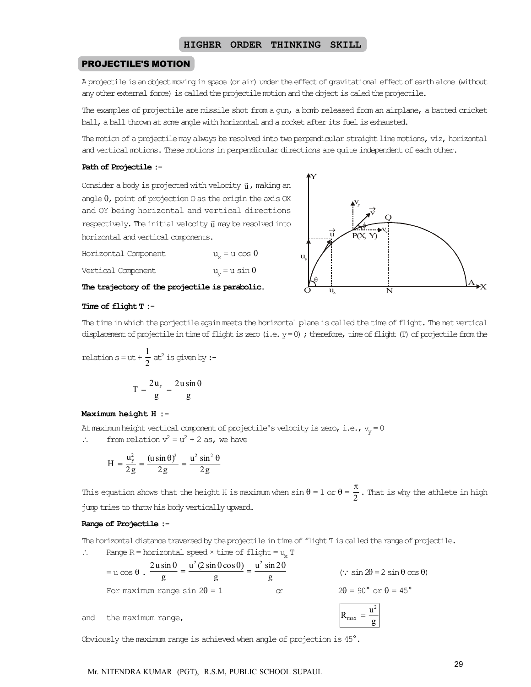#### PROJECTILE'S MOTION

A projectile is an object moving in space (or air) under the effect of gravitational effect of earth alone (without any other external force) is called the projectile motion and the object is caled the projectile.

The examples of projectile are missile shot from a gun, a bomb released from an airplane, a batted cricket ball, a ball thrown at some angle with horizontal and a rocket after its fuel is exhausted.

The motion of a projectile may always be resolved into two perpendicular straight line motions, viz, horizontal and vertical motions. These motions in perpendicular directions are quite independent of each other.

#### Path of Projectile :-

Consider a body is projected with velocity  $\vec{\mathbf{u}}$  , making an angle  $\theta$ , point of projection 0 as the origin the axis OX and OY being horizontal and vertical directions  ${\rm respectively.}$  The initial velocity  $\vec{\mathfrak{u}}$  may be resolved into horizontal and vertical components.

Horizontal Component  $u_x = u \cos \theta$ Vertical Component  $u_{\nu} = u \sin \theta$ 

The trajectory of the projectile is parabolic.



#### Time of flight T :-

The time in which the porjectile again meets the horizontal plane is called the time of flight. The net vertical displacement of projectile in time of flight is zero (i.e. y = 0) ; therefore, time of flight (T) of projectile from the

relation 
$$
s = ut + \frac{1}{2} at^2
$$
 is given by :-

$$
T = \frac{2u_y}{g} = \frac{2u\sin\theta}{g}
$$

#### Maximum height H :-

At maximum height vertical component of projectile's velocity is zero, i.e.,  $v_y = 0$ 

 $\therefore$  from relation  $v^2 = u^2 + 2$  as, we have

$$
H = \frac{u_y^2}{2g} = \frac{(u \sin \theta)^2}{2g} = \frac{u^2 \sin^2 \theta}{2g}
$$

This equation shows that the height H is maximum when  $\sin \theta = 1$  or  $\theta = \frac{\pi}{2}$  . That is why the athlete in high jump tries to throw his body vertically upward.

#### Range of Projectile :-

The horizontal distance traversed by the projectile in time of flight T is called the range of projectile.

 $\therefore$  Range R = horizontal speed × time of flight = u<sub>y</sub> T

|     |                                     | $2u\sin\theta$ $u^2(2\sin\theta\cos\theta)$ $u^2\sin2\theta$ |   | $\therefore$ sin $2\theta = 2 \sin \theta \cos \theta$ |
|-----|-------------------------------------|--------------------------------------------------------------|---|--------------------------------------------------------|
|     | $=$ u cos $\theta$ .                |                                                              |   |                                                        |
|     | For maximum range sin $2\theta = 1$ |                                                              | m | $2\theta = 90^{\circ}$ or $\theta = 45^{\circ}$        |
| and | the maximum range,                  |                                                              |   | max                                                    |

Obviously the maximum range is achieved when angle of projection is 45°.

Mr. NITENDRA KUMAR (PGT), R.S.M, PUBLIC SCHOOL SUPAUL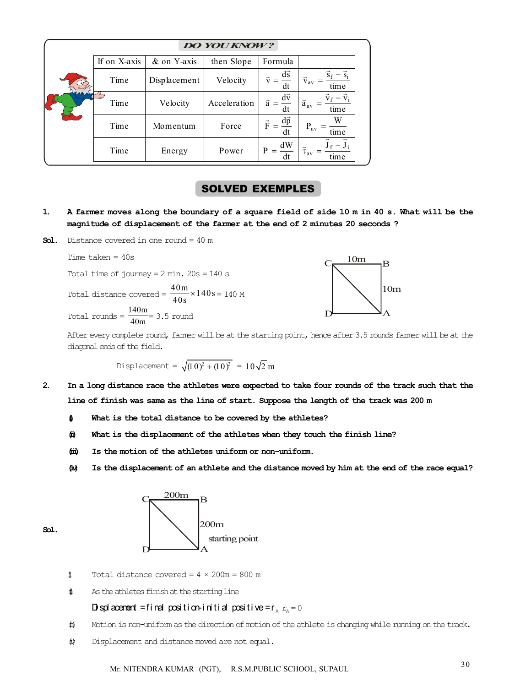| <b>DO YOU KNOW?</b> |                  |              |                                           |                                        |                         |  |  |  |
|---------------------|------------------|--------------|-------------------------------------------|----------------------------------------|-------------------------|--|--|--|
|                     | If on X-axis     | & on Y-axis  | then Slope                                | Formula                                |                         |  |  |  |
|                     | Time             | Displacement | $d\vec{s}$<br>$\vec{v}$<br>Velocity<br>dt |                                        | $\vec{v}_{av}$<br>time  |  |  |  |
|                     | Time             | Velocity     | Acceleration                              | $d\vec{v}$<br>$\vec{a}$<br>dt          | $\vec{a}_{av}$<br>time  |  |  |  |
|                     | Time<br>Momentum |              | Force                                     | $d\vec{p}$<br>$\vec{\mathrm{F}}$<br>dt | $P_{av}$<br>time        |  |  |  |
|                     | Time             | Energy       | Power                                     | dW<br>P<br>dt                          | $\tau_{\rm av}$<br>time |  |  |  |

### SOLVED EXEMPLES

- 1. A farmer moves along the boundary of a square field of side 10 m in 40 s. What will be the magnitude of displacement of the farmer at the end of 2 minutes 20 seconds ?
- **Sol.** Distance covered in one round  $= 40$  m

Time taken  $= 40s$ Total time of journey =  $2 \text{ min. } 20 \text{s} = 140 \text{ s}$ Total distance covered =  $\frac{40 \text{ m}}{40 \text{ s}} \times 140 \text{ s} = 140 \text{ M}$  $C_{\text{N}} \frac{10m}{B} B$ Total rounds =  $\frac{140m}{40m}$  = 3.5 round

After every complete round, farmer will be at the starting point, hence after 3.5 rounds farmer will be at the diagonal ends of the field.

10m

Displacement = 
$$
\sqrt{(10)^2 + (10)^2}
$$
 = 10 $\sqrt{2}$  m

- 2. In a long distance race the athletes were expected to take four rounds of the track such that the line of finish was same as the line of start. Suppose the length of the track was 200 m
	- $\text{if}$  What is the total distance to be covered by the athletes?
	- (ii) What is the displacement of the athletes when they touch the finish line?
	- (iii) Is the motion of the athletes uniform or non-uniform.
	- (iv) Is the displacement of an athlete and the distance moved by him at the end of the race equal?



- $\texttt{1}$  Total distance covered = 4 × 200m = 800 m
- $\sharp$  As the athletes finish at the starting line

# Displacement=final position-initial positive=r $_{\mathrm{A}}$ - $_{\mathrm{A}}$ =0

- $\ddot{\text{m}}$  Motion is non-uniform as the direction of motion of the athlete is changing while running on the track.
- $\upphi$  Displacement and distance moved are not equal.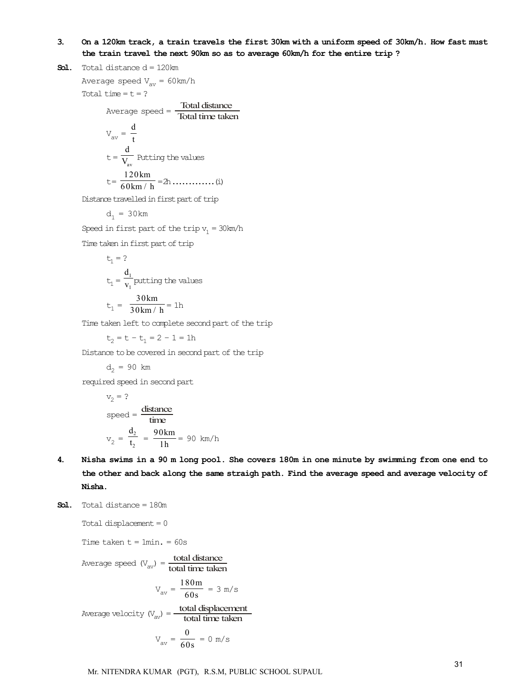#### 3. On a 120km track, a train travels the first 30km with a uniform speed of 30km/h. How fast must the train travel the next 90km so as to average 60km/h for the entire trip ?

**Sol.** Total distance  $d = 120$ km

```
Average speed V_{\text{av}} = 60 \text{ km/h}Total time = t = ?
```
Average speed = Total distance Total time taken Vav = <sup>d</sup> t t = av d <sup>V</sup> Putting the values t = 120km 60km / h = 2h .............(i)

Distance travelled in first part of trip

$$
d_1 = 30 \,\text{km}
$$

Speed in first part of the trip  $v_1 = 30$ km/h

Time taken in first part of trip

$$
t_1 = ?
$$
  
\n
$$
t_1 = \frac{d_1}{v_1} \text{putting the values}
$$
  
\n
$$
t_1 = \frac{30 \text{ km}}{30 \text{ km/h}} = 1 \text{ h}
$$

Time taken left to complete second part of the trip

 $t_2 = t - t_1 = 2 - 1 = 1h$ 

Distance to be covered in second part of the trip

$$
d_2 = 90 \text{ km}
$$

required speed in second part

$$
v_2 = ?
$$
  
speed =  $\frac{\text{distance}}{\text{time}}$   
 $v_2 = \frac{d_2}{t_2} = \frac{90 \text{ km}}{1 \text{ h}} = 90 \text{ km/h}$ 

- 4. Nisha swims in a 90 m long pool. She covers 180m in one minute by swimming from one end to the other and back along the same straigh path. Find the average speed and average velocity of Nisha.
- Sol. Total distance = 180m

Total displacement = 0

Time taken  $t = 1$ min. = 60s

Average speed (
$$
V_{av}
$$
) = **total distance**  
\n
$$
V_{av} = \frac{180 \text{m}}{60 \text{s}} = 3 \text{ m/s}
$$
\nAverage velocity ( $V_{av}$ ) = **total displacement**  
\ntotal time taken

$$
V_{av} = \frac{0}{60s} = 0 \text{ m/s}
$$

Mr. NITENDRA KUMAR (PGT), R.S.M, PUBLIC SCHOOL SUPAUL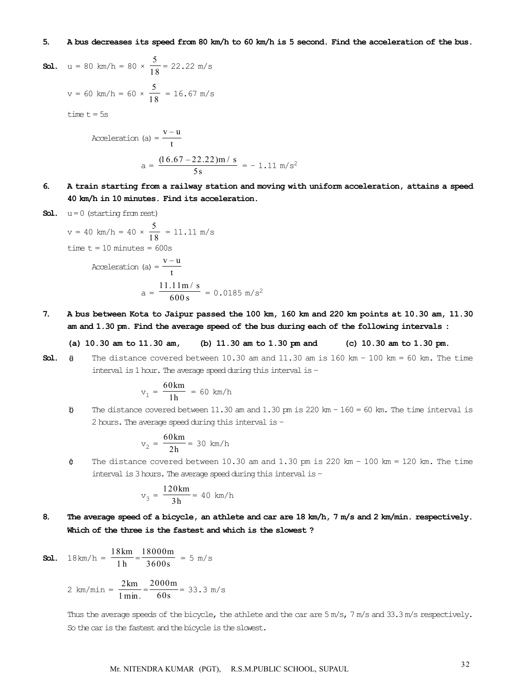#### 5. A bus decreases its speed from 80 km/h to 60 km/h is 5 second. Find the acceleration of the bus.

**Sol.** 
$$
u = 80 \text{ km/h} = 80 \times \frac{5}{18} = 22.22 \text{ m/s}
$$
  
 $v = 60 \text{ km/h} = 60 \times \frac{5}{18} = 16.67 \text{ m/s}$ 

time  $t = 5s$ 

Acceleration (a) = 
$$
\frac{v - u}{t}
$$
  

$$
a = \frac{(16.67 - 22.22) \text{m/s}}{5s} = -1.11 \text{ m/s}^2
$$

6. A train starting from a railway station and moving with uniform acceleration, attains a speed 40 km/h in 10 minutes. Find its acceleration.

Sol. 
$$
u = 0
$$
 (starting from rest)

\n $v = 40 \, \text{km/h} = 40 \times \frac{5}{18} = 11.11 \, \text{m/s}$ 

\ntime  $t = 10 \, \text{minutes} = 600 \, \text{s}$ 

\nAcceleration (a)  $= \frac{v - u}{t}$ 

\n $a = \frac{11.11 \, \text{m/s}}{600 \, \text{s}} = 0.0185 \, \text{m/s}^2$ 

7. A bus between Kota to Jaipur passed the 100 km, 160 km and 220 km points at 10.30 am, 11.30 am and 1.30 pm. Find the average speed of the bus during each of the following intervals :

#### (a) 10.30 am to 11.30 am, (b) 11.30 am to 1.30 pm and (c) 10.30 am to 1.30 pm.

**Sol.**  $\theta$  The distance covered between 10.30 am and 11.30 am is 160 km - 100 km = 60 km. The time interval is 1 hour. The average speed during this interval is –

$$
v_1 = \frac{60 \text{ km}}{1 \text{ h}} = 60 \text{ km/h}
$$

(b) The distance covered between 11.30 am and 1.30 pm is 220 km –  $160 = 60$  km. The time interval is 2 hours. The average speed during this interval is –

$$
v_2 = \frac{60 \text{ km}}{2 \text{ h}} = 30 \text{ km/h}
$$

 $\phi$  The distance covered between 10.30 am and 1.30 pm is 220 km - 100 km = 120 km. The time interval is 3 hours. The average speed during this interval is –

$$
v_3 = \frac{120 \, \text{km}}{3 \, \text{h}} = 40 \, \text{km/h}
$$

8. The average speed of a bicycle, an athlete and car are 18 km/h, 7 m/s and 2 km/min. respectively. Which of the three is the fastest and which is the slowest ?

**Sol.** 
$$
18 \text{ km/h} = \frac{18 \text{ km}}{1 \text{ h}} = \frac{18000 \text{ m}}{3600 \text{ s}} = 5 \text{ m/s}
$$

$$
2 \text{ km/min} = \frac{2 \text{ km}}{1 \text{ min.}} = \frac{2000 \text{ m}}{60 \text{s}} = 33.3 \text{ m/s}
$$

Thus the average speeds of the bicycle, the athlete and the car are 5 m/s, 7 m/s and 33.3 m/s respectively. So the car is the fastest and the bicycle is the slowest.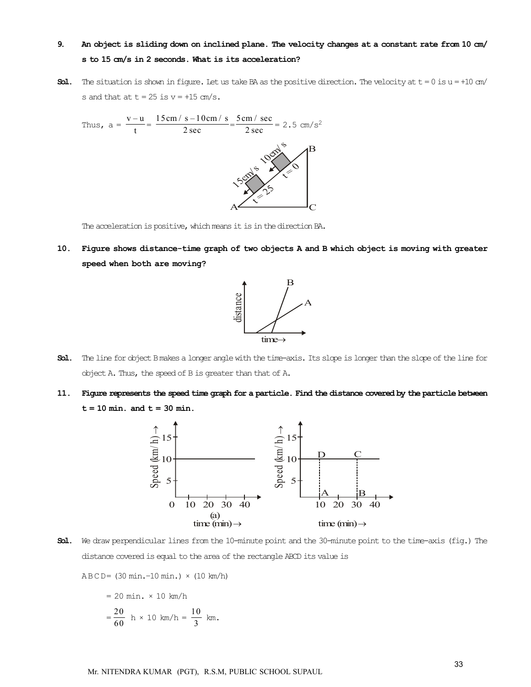# 9. An object is sliding down on inclined plane. The velocity changes at a constant rate from 10 cm/ s to 15 cm/s in 2 seconds. What is its acceleration?

**Sol.** The situation is shown in figure. Let us take BA as the positive direction. The velocity at  $t = 0$  is  $u = +10$  cm/ s and that at  $t = 25$  is  $v = +15$  cm/s.



The acceleration is positive, which means it is in the direction BA.

10. Figure shows distance-time graph of two objects A and B which object is moving with greater speed when both are moving?



- Sol. The line for object B makes a longer angle with the time-axis. Its slope is longer than the slope of the line for object A. Thus, the speed of B is greater than that of A.
- 11. Figure represents the speed time graph for a particle. Find the distance covered by the particle between  $t = 10$  min. and  $t = 30$  min.



Sol. We draw perpendicular lines from the 10-minute point and the 30-minute point to the time-axis (fig.) The distance covered is equal to the area of the rectangle ABCD its value is

A B C D= (30 min.–10 min.) × (10 km/h)

$$
= 20 \text{ min.} \times 10 \text{ km/h}
$$

$$
= \frac{20}{60} \text{ h} \times 10 \text{ km/h} = \frac{10}{3} \text{ km}.
$$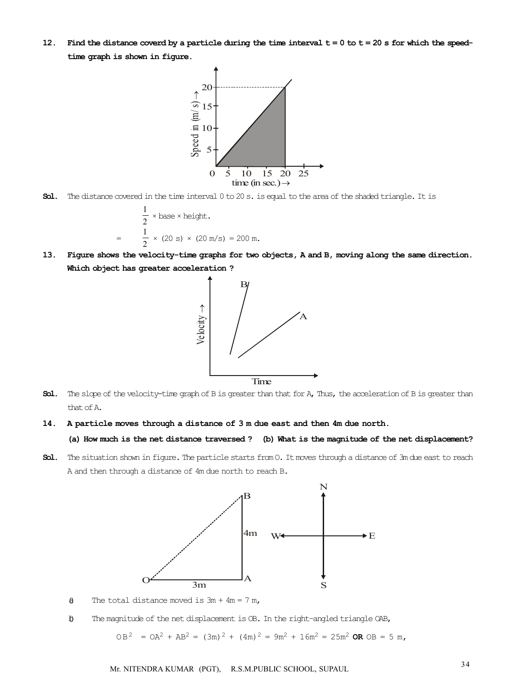12. Find the distance coverd by a particle during the time interval  $t = 0$  to  $t = 20$  s for which the speedtime graph is shown in figure.



Sol. The distance covered in the time interval 0 to 20 s. is equal to the area of the shaded triangle. It is

$$
\frac{1}{2} \times \text{base} \times \text{height.}
$$
  
= 
$$
\frac{1}{2} \times (20 \text{ s}) \times (20 \text{ m/s}) = 200 \text{ m.}
$$

13. Figure shows the velocity-time graphs for two objects, A and B, moving along the same direction. Which object has greater acceleration ?



- Sol. The slope of the velocity-time graph of B is greater than that for A, Thus, the acceleration of B is greater than that of A.
- 14. A particle moves through a distance of 3 m due east and then 4m due north.
	- (a) How much is the net distance traversed ? (b) What is the magnitude of the net displacement?
- Sol. The situation shown in figure. The particle starts from 0. It moves through a distance of 3m due east to reach A and then through a distance of 4m due north to reach B.



- $\theta$  The total distance moved is  $3m + 4m = 7 m$ ,
- (b) The magnitude of the net displacement is OB. In the right–angled triangle OAB,

 $OB^2$  =  $OA^2$  +  $AB^2$  =  $(3m)^2$  +  $(4m)^2$  =  $9m^2$  +  $16m^2$  =  $25m^2$  OR  $OB = 5 m$ ,

<sup>34</sup> Mr. NITENDRA KUMAR (PGT), R.S.M.PUBLIC SCHOOL, SUPAUL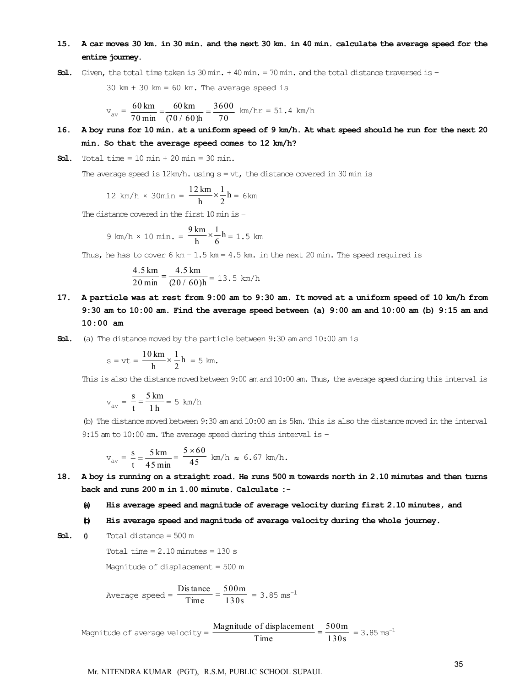#### 15. A car moves 30 km. in 30 min. and the next 30 km. in 40 min. calculate the average speed for the entire journey.

**Sol.** Given, the total time taken is  $30 \text{ min.} + 40 \text{ min.} = 70 \text{ min.}$  and the total distance traversed is  $-$ 

 $30 \text{ km} + 30 \text{ km} = 60 \text{ km}$ . The average speed is

$$
v_{av} = \frac{60 \text{ km}}{70 \text{ min}} = \frac{60 \text{ km}}{(70/60)h} = \frac{3600}{70}
$$
 km/hr = 51.4 km/h

16. A boy runs for 10 min. at a uniform speed of 9 km/h. At what speed should he run for the next 20 min. So that the average speed comes to 12 km/h?

**Sol.** Total time =  $10 \text{ min} + 20 \text{ min} = 30 \text{ min}$ .

The average speed is  $12 \text{km/h}$ . using  $s = vt$ , the distance covered in 30 min is

$$
12 \text{ km/h} \times 30 \text{min} = \frac{12 \text{ km}}{\text{h}} \times \frac{1}{2} \text{h} = 6 \text{ km}
$$

The distance covered in the first 10 min is –

9 km/h × 10 min. = 
$$
\frac{9 \text{ km}}{h} \times \frac{1}{6}h = 1.5 \text{ km}
$$

Thus, he has to cover  $6 \text{ km} - 1.5 \text{ km} = 4.5 \text{ km}$ . in the next 20 min. The speed required is

$$
\frac{4.5 \text{ km}}{20 \text{ min}} = \frac{4.5 \text{ km}}{(20/60) \text{h}} = 13.5 \text{ km/h}
$$

- 17. A particle was at rest from 9:00 am to 9:30 am. It moved at a uniform speed of 10 km/h from 9:30 am to 10:00 am. Find the average speed between (a) 9:00 am and 10:00 am (b) 9:15 am and 10:00 am
- Sol. (a) The distance moved by the particle between 9:30 am and 10:00 am is

$$
s = vt = \frac{10 \text{ km}}{h} \times \frac{1}{2}h = 5 \text{ km}.
$$

This is also the distance moved between 9:00 am and 10:00 am. Thus, the average speed during this interval is

$$
v_{av} = \frac{s}{t} = \frac{5 \text{ km}}{1 \text{ h}} = 5 \text{ km/h}
$$

(b) The distance moved between 9:30 am and 10:00 am is 5km. This is also the distance moved in the interval 9:15 am to 10:00 am. The average speed during this interval is –

$$
v_{av} = \frac{s}{t} = \frac{5 \text{ km}}{45 \text{ min}} = \frac{5 \times 60}{45} \text{ km/h} \approx 6.67 \text{ km/h}.
$$

- 18. A boy is running on a straight road. He runs 500 m towards north in 2.10 minutes and then turns back and runs 200 m in 1.00 minute. Calculate :-
	- (a) His average speed and magnitude of average velocity during first 2.10 minutes, and
	- (b) His average speed and magnitude of average velocity during the whole journey.

**Sol.**  $\theta$  Total distance = 500 m

Total time  $= 2.10$  minutes  $= 130$  s

Magnitude of displacement = 500 m

Average speed = 
$$
\frac{\text{Dis tance}}{\text{Time}} = \frac{500 \text{m}}{130 \text{s}} = 3.85 \text{ ms}^{-1}
$$

Magnitude of average velocity =  $\frac{\text{Magnitude of displacement}}{\text{Time}} = \frac{500 \text{m}}{130 \text{s}} = 3.85 \text{ ms}^{-1}$